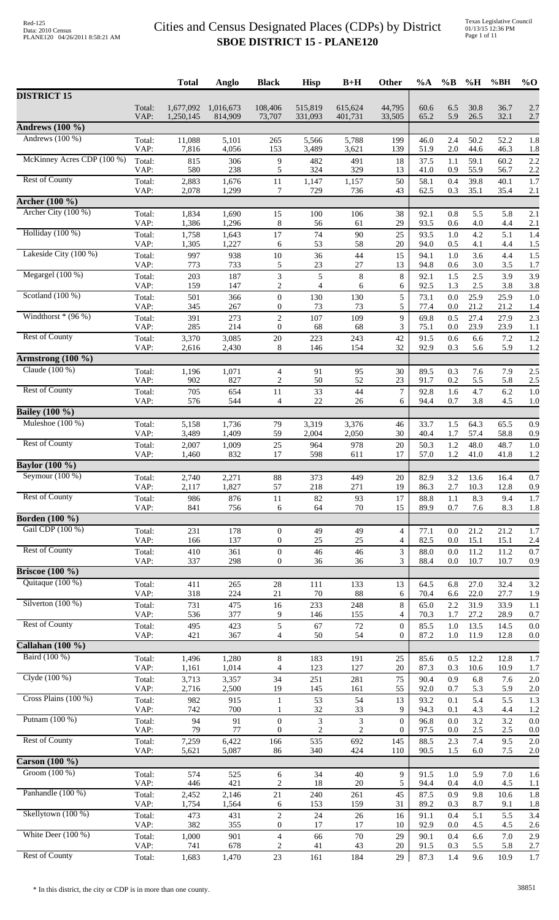|                                |                | <b>Total</b>           | Anglo                | <b>Black</b>                         | <b>Hisp</b>        | $B+H$              | Other                          | $\%A$        | $\%B$      | %H           | %BH          | $%$ <sup>O</sup> |
|--------------------------------|----------------|------------------------|----------------------|--------------------------------------|--------------------|--------------------|--------------------------------|--------------|------------|--------------|--------------|------------------|
| <b>DISTRICT 15</b>             |                |                        |                      |                                      |                    |                    |                                |              |            |              |              |                  |
|                                | Total:<br>VAP: | 1,677,092<br>1,250,145 | 1,016,673<br>814,909 | 108,406<br>73,707                    | 515,819<br>331,093 | 615,624<br>401,731 | 44,795<br>33,505               | 60.6<br>65.2 | 6.5<br>5.9 | 30.8<br>26.5 | 36.7<br>32.1 | 2.7<br>2.7       |
| Andrews $(100\ \frac{1}{6})$   |                |                        |                      |                                      |                    |                    |                                |              |            |              |              |                  |
| Andrews $(100\%)$              | Total:         | 11,088                 | 5,101                | 265                                  | 5,566              | 5,788              | 199                            | 46.0         | 2.4        | 50.2         | 52.2         | 1.8              |
| McKinney Acres CDP (100 %)     | VAP:           | 7,816                  | 4,056                | 153                                  | 3,489              | 3,621              | 139                            | 51.9         | 2.0        | 44.6         | 46.3         | 1.8              |
|                                | Total:<br>VAP: | 815<br>580             | 306<br>238           | $\overline{9}$<br>5                  | 482<br>324         | 491<br>329         | 18<br>13                       | 37.5<br>41.0 | 1.1<br>0.9 | 59.1<br>55.9 | 60.2<br>56.7 | 2.2<br>2.2       |
| <b>Rest of County</b>          | Total:         | 2,883                  | 1,676                | $11\,$                               | 1,147              | 1,157              | 50                             | 58.1         | 0.4        | 39.8         | 40.1         | 1.7              |
| <b>Archer</b> (100 %)          | VAP:           | 2,078                  | 1,299                | 7                                    | 729                | 736                | 43                             | 62.5         | 0.3        | 35.1         | 35.4         | 2.1              |
| Archer City (100 %)            | Total:         | 1,834                  | 1,690                | 15                                   | 100                | 106                | 38                             | 92.1         | 0.8        | 5.5          | 5.8          | 2.1              |
| Holliday (100 %)               | VAP:           | 1,386                  | 1,296                | $\,8\,$                              | 56                 | 61                 | 29                             | 93.5         | 0.6        | 4.0          | 4.4          | 2.1              |
|                                | Total:<br>VAP: | 1,758<br>1,305         | 1,643<br>1,227       | $17\,$<br>6                          | 74<br>53           | 90<br>58           | 25<br>$20\,$                   | 93.5<br>94.0 | 1.0<br>0.5 | 4.2<br>4.1   | 5.1<br>4.4   | 1.4<br>1.5       |
| Lakeside City (100 %)          | Total:<br>VAP: | 997<br>773             | 938                  | $10\,$                               | 36                 | 44<br>27           | 15                             | 94.1<br>94.8 | 1.0        | 3.6          | 4.4          | 1.5              |
| Megargel $(100\%)$             | Total:         | 203                    | 733<br>187           | 5<br>3                               | 23<br>5            | $\,8\,$            | 13<br>8                        | 92.1         | 0.6<br>1.5 | 3.0<br>2.5   | 3.5<br>3.9   | 1.7<br>3.9       |
|                                | VAP:           | 159                    | 147                  | $\overline{c}$                       | 4                  | 6                  | 6                              | 92.5         | 1.3        | 2.5          | 3.8          | 3.8              |
| Scotland $(100\%)$             | Total:<br>VAP: | 501<br>345             | 366<br>267           | $\boldsymbol{0}$<br>$\boldsymbol{0}$ | 130<br>73          | 130<br>73          | 5<br>5                         | 73.1<br>77.4 | 0.0<br>0.0 | 25.9<br>21.2 | 25.9<br>21.2 | 1.0<br>1.4       |
| Windthorst $*(96\%)$           | Total:         | 391                    | 273                  | $\boldsymbol{2}$                     | 107                | 109                | 9                              | 69.8         | 0.5        | 27.4         | 27.9         | 2.3              |
| <b>Rest of County</b>          | VAP:<br>Total: | 285<br>3,370           | 214<br>3,085         | $\boldsymbol{0}$<br>$20\,$           | 68<br>223          | 68<br>243          | 3<br>42                        | 75.1<br>91.5 | 0.0<br>0.6 | 23.9<br>6.6  | 23.9<br>7.2  | 1.1<br>1.2       |
|                                | VAP:           | 2,616                  | 2,430                | 8                                    | 146                | 154                | 32                             | 92.9         | 0.3        | 5.6          | 5.9          | 1.2              |
| Armstrong $(100\ \frac{9}{6})$ |                |                        |                      |                                      |                    |                    |                                |              |            |              |              |                  |
| Claude (100 %)                 | Total:<br>VAP: | 1,196<br>902           | 1,071<br>827         | $\overline{4}$<br>2                  | 91<br>50           | 95<br>52           | 30<br>23                       | 89.5<br>91.7 | 0.3<br>0.2 | 7.6<br>5.5   | 7.9<br>5.8   | 2.5<br>2.5       |
| <b>Rest of County</b>          | Total:         | 705                    | 654                  | 11                                   | 33                 | 44                 | $\tau$                         | 92.8         | 1.6        | 4.7          | 6.2          | 1.0              |
|                                | VAP:           | 576                    | 544                  | 4                                    | 22                 | 26                 | 6                              | 94.4         | 0.7        | 3.8          | 4.5          | 1.0              |
| <b>Bailey</b> (100 %)          |                |                        |                      |                                      |                    |                    |                                |              |            |              |              |                  |
| Muleshoe $(100\%)$             | Total:<br>VAP: | 5,158<br>3,489         | 1,736<br>1,409       | 79<br>59                             | 3,319<br>2,004     | 3,376<br>2,050     | 46<br>30                       | 33.7<br>40.4 | 1.5<br>1.7 | 64.3<br>57.4 | 65.5<br>58.8 | 0.9<br>0.9       |
| <b>Rest of County</b>          | Total:         | 2,007                  | 1,009                | 25                                   | 964                | 978                | 20                             | 50.3         | $1.2\,$    | 48.0         | 48.7         | 1.0              |
| <b>Baylor</b> (100 %)          | VAP:           | 1,460                  | 832                  | 17                                   | 598                | 611                | 17                             | 57.0         | 1.2        | 41.0         | 41.8         | 1.2              |
| Seymour $(100\%)$              | Total:         | 2,740                  | 2,271                | 88                                   | 373                | 449                | 20                             | 82.9         | 3.2        | 13.6         | 16.4         | 0.7              |
|                                | VAP:           | 2,117                  | 1,827                | 57                                   | 218                | 271                | 19                             | 86.3         | 2.7        | 10.3         | 12.8         | 0.9              |
| <b>Rest of County</b>          | Total:<br>VAP: | 986<br>841             | 876<br>756           | 11<br>6                              | 82<br>64           | 93<br>70           | 17<br>15                       | 88.8<br>89.9 | 1.1<br>0.7 | 8.3<br>7.6   | 9.4<br>8.3   | 1.7<br>1.8       |
| <b>Borden</b> (100 %)          |                |                        |                      |                                      |                    |                    |                                |              |            |              |              |                  |
| Gail CDP (100 %)               | Total:         | 231                    | 178                  | $\mathbf{0}$                         | 49                 | 49                 | $\overline{4}$                 | 77.1         | 0.0        | 21.2         | 21.2         | 1.7              |
| <b>Rest of County</b>          | VAP:<br>Total: | 166<br>410             | 137<br>361           | $\boldsymbol{0}$<br>$\boldsymbol{0}$ | 25<br>46           | 25<br>46           | 4<br>3                         | 82.5<br>88.0 | 0.0<br>0.0 | 15.1<br>11.2 | 15.1<br>11.2 | 2.4<br>0.7       |
|                                | VAP:           | 337                    | 298                  | $\boldsymbol{0}$                     | 36                 | 36                 | 3                              | 88.4         | 0.0        | 10.7         | 10.7         | 0.9              |
| <b>Briscoe</b> (100 %)         |                |                        |                      |                                      |                    |                    |                                |              |            |              |              |                  |
| Quitaque (100 %)               | Total:<br>VAP: | 411<br>318             | 265<br>224           | $28\,$<br>21                         | 111<br>70          | 133<br>88          | 13<br>6                        | 64.5<br>70.4 | 6.8<br>6.6 | 27.0<br>22.0 | 32.4<br>27.7 | 3.2<br>1.9       |
| Silverton $(100\%)$            | Total:         | 731                    | 475                  | 16                                   | 233                | 248                | 8                              | 65.0         | 2.2        | 31.9         | 33.9         | 1.1              |
| <b>Rest of County</b>          | VAP:           | 536                    | 377                  | 9                                    | 146                | 155                | 4                              | 70.3         | 1.7        | 27.2         | 28.9         | 0.7              |
|                                | Total:<br>VAP: | 495<br>421             | 423<br>367           | 5<br>4                               | 67<br>50           | 72<br>54           | $\mathbf{0}$<br>$\overline{0}$ | 85.5<br>87.2 | 1.0<br>1.0 | 13.5<br>11.9 | 14.5<br>12.8 | 0.0<br>0.0       |
| <b>Callahan</b> (100 %)        |                |                        |                      |                                      |                    |                    |                                |              |            |              |              |                  |
| Baird (100 %)                  | Total:         | 1,496                  | 1,280                | 8<br>$\overline{4}$                  | 183<br>123         | 191<br>127         | 25<br>20                       | 85.6         | 0.5        | 12.2         | 12.8         | 1.7              |
| Clyde (100 %)                  | VAP:<br>Total: | 1,161<br>3,713         | 1,014<br>3,357       | 34                                   | 251                | 281                | 75                             | 87.3<br>90.4 | 0.3<br>0.9 | 10.6<br>6.8  | 10.9<br>7.6  | 1.7<br>2.0       |
|                                | VAP:           | 2,716                  | 2,500                | 19                                   | 145                | 161                | 55                             | 92.0         | 0.7        | 5.3          | 5.9          | 2.0              |
| Cross Plains (100 %)           | Total:<br>VAP: | 982<br>742             | 915<br>700           | $\mathbf{1}$<br>1                    | 53<br>32           | 54<br>33           | 13<br>9                        | 93.2<br>94.3 | 0.1<br>0.1 | 5.4<br>4.3   | 5.5<br>4.4   | 1.3<br>1.2       |
| Putnam (100 %)                 | Total:         | 94                     | 91                   | $\boldsymbol{0}$                     | $\mathfrak{Z}$     | 3                  | $\boldsymbol{0}$               | 96.8         | 0.0        | 3.2          | 3.2          | 0.0              |
| <b>Rest of County</b>          | VAP:           | 79                     | 77                   | $\overline{0}$                       | $\overline{c}$     | $\overline{c}$     | $\boldsymbol{0}$               | 97.5         | 0.0        | 2.5          | 2.5          | 0.0              |
|                                | Total:<br>VAP: | 7,259<br>5,621         | 6,422<br>5,087       | 166<br>86                            | 535<br>340         | 692<br>424         | 145<br>110                     | 88.5<br>90.5 | 2.3<br>1.5 | 7.4<br>6.0   | 9.5<br>7.5   | 2.0<br>2.0       |
| Carson $(100\%)$               |                |                        |                      |                                      |                    |                    |                                |              |            |              |              |                  |
| Groom $(100\%)$                | Total:         | 574                    | 525                  | 6                                    | 34                 | 40                 | 9                              | 91.5         | 1.0        | 5.9          | 7.0          | 1.6              |
| Panhandle (100 %)              | VAP:<br>Total: | 446<br>2,452           | 421<br>2,146         | $\overline{c}$<br>$21\,$             | 18<br>240          | 20<br>261          | 5<br>45                        | 94.4<br>87.5 | 0.4<br>0.9 | 4.0<br>9.8   | 4.5<br>10.6  | 1.1<br>1.8       |
|                                | VAP:           | 1,754                  | 1,564                | 6                                    | 153                | 159                | 31                             | 89.2         | 0.3        | 8.7          | 9.1          | 1.8              |
| Skellytown (100 %)             | Total:         | 473                    | 431                  | $\boldsymbol{2}$                     | 24                 | 26                 | 16                             | 91.1         | 0.4        | 5.1          | 5.5          | 3.4              |
| White Deer $(100\%)$           | VAP:<br>Total: | 382<br>1,000           | 355<br>901           | $\boldsymbol{0}$<br>$\overline{4}$   | 17<br>66           | 17<br>70           | 10<br>29                       | 92.9<br>90.1 | 0.0<br>0.4 | 4.5<br>6.6   | 4.5<br>7.0   | 2.6<br>2.9       |
|                                | VAP:           | 741                    | 678                  | 2                                    | 41                 | 43                 | 20                             | 91.5         | 0.3        | 5.5          | 5.8          | 2.7              |
| <b>Rest of County</b>          | Total:         | 1,683                  | 1,470                | $23\,$                               | 161                | 184                | 29                             | 87.3         | 1.4        | 9.6          | 10.9         | 1.7              |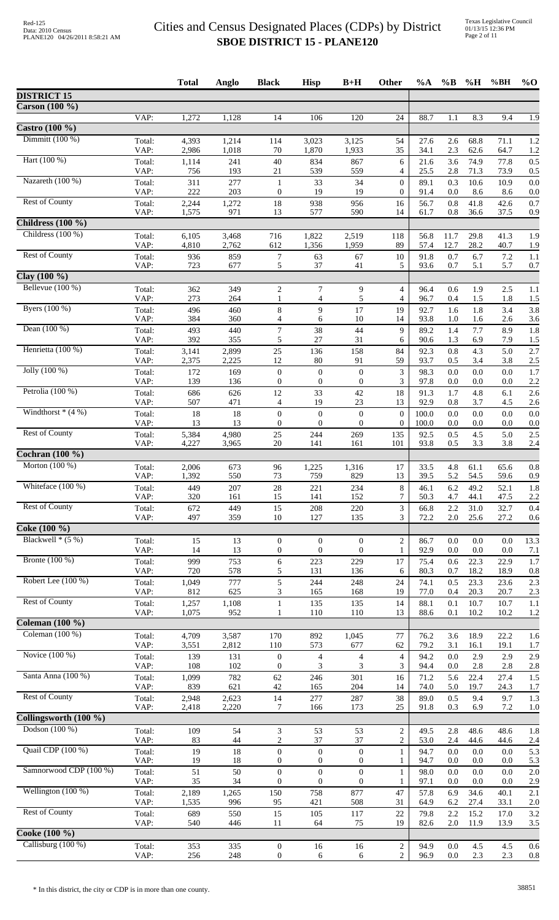|                                      |                | <b>Total</b>   | Anglo          | <b>Black</b>                         | <b>Hisp</b>                          | $B+H$                            | Other                              | $\%A$        | $\%B$          | %H           | %BH          | $%$ <sup>O</sup> |
|--------------------------------------|----------------|----------------|----------------|--------------------------------------|--------------------------------------|----------------------------------|------------------------------------|--------------|----------------|--------------|--------------|------------------|
| <b>DISTRICT 15</b>                   |                |                |                |                                      |                                      |                                  |                                    |              |                |              |              |                  |
| Carson (100 %)                       |                |                |                |                                      |                                      |                                  |                                    |              |                |              |              |                  |
|                                      | VAP:           | 1,272          | 1,128          | 14                                   | 106                                  | 120                              | 24                                 | 88.7         | 1.1            | 8.3          | 9.4          | $\overline{1.9}$ |
| Castro $(100\%$<br>Dimmitt $(100\%)$ |                |                |                |                                      |                                      |                                  |                                    |              |                |              |              |                  |
|                                      | Total:<br>VAP: | 4,393<br>2,986 | 1,214<br>1,018 | 114<br>70                            | 3,023<br>1,870                       | 3,125<br>1,933                   | 54<br>35                           | 27.6<br>34.1 | 2.6<br>2.3     | 68.8<br>62.6 | 71.1<br>64.7 | 1.2<br>1.2       |
| Hart (100 %)                         | Total:         | 1,114          | 241            | $40\,$                               | 834                                  | 867                              | 6                                  | 21.6         | 3.6            | 74.9         | 77.8         | 0.5              |
|                                      | VAP:           | 756            | 193            | 21                                   | 539                                  | 559                              | $\overline{4}$                     | 25.5         | 2.8            | 71.3         | 73.9         | 0.5              |
| Nazareth (100 %)                     | Total:         | 311            | 277            | 1                                    | 33                                   | 34                               | $\mathbf{0}$                       | 89.1         | 0.3            | 10.6         | 10.9         | 0.0              |
| <b>Rest of County</b>                | VAP:<br>Total: | 222<br>2,244   | 203<br>1,272   | $\boldsymbol{0}$<br>18               | 19<br>938                            | 19<br>956                        | $\overline{0}$<br>16               | 91.4<br>56.7 | 0.0<br>$0.8\,$ | 8.6<br>41.8  | 8.6<br>42.6  | 0.0<br>0.7       |
|                                      | VAP:           | 1,575          | 971            | 13                                   | 577                                  | 590                              | 14                                 | 61.7         | 0.8            | 36.6         | 37.5         | 0.9              |
| Childress $(100 \%)$                 |                |                |                |                                      |                                      |                                  |                                    |              |                |              |              |                  |
| Childress (100 %)                    | Total:         | 6,105          | 3,468          | 716                                  | 1,822                                | 2,519                            | 118                                | 56.8         | 11.7           | 29.8         | 41.3         | 1.9              |
|                                      | VAP:           | 4,810          | 2,762          | 612                                  | 1,356                                | 1,959                            | 89                                 | 57.4         | 12.7           | 28.2         | 40.7         | 1.9              |
| <b>Rest of County</b>                | Total:<br>VAP: | 936<br>723     | 859<br>677     | $\boldsymbol{7}$<br>5                | 63<br>37                             | 67<br>41                         | 10<br>5                            | 91.8<br>93.6 | 0.7<br>0.7     | 6.7<br>5.1   | 7.2<br>5.7   | 1.1<br>0.7       |
| Clay $(100\% )$                      |                |                |                |                                      |                                      |                                  |                                    |              |                |              |              |                  |
| Bellevue $(100\%)$                   | Total:         | 362            | 349            | $\overline{c}$                       | 7                                    | 9                                | $\overline{4}$                     | 96.4         | 0.6            | 1.9          | 2.5          | 1.1              |
|                                      | VAP:           | 273            | 264            | 1                                    | $\overline{4}$                       | 5                                | 4                                  | 96.7         | 0.4            | 1.5          | 1.8          | 1.5              |
| Byers (100 %)                        | Total:         | 496            | 460            | 8                                    | 9                                    | 17                               | 19                                 | 92.7         | 1.6            | 1.8          | 3.4          | 3.8              |
| Dean $(100\%)$                       | VAP:<br>Total: | 384<br>493     | 360<br>440     | 4<br>$\boldsymbol{7}$                | 6<br>38                              | 10<br>44                         | 14<br>9                            | 93.8<br>89.2 | 1.0<br>1.4     | 1.6<br>7.7   | 2.6<br>8.9   | 3.6<br>1.8       |
|                                      | VAP:           | 392            | 355            | 5                                    | 27                                   | 31                               | 6                                  | 90.6         | 1.3            | 6.9          | 7.9          | 1.5              |
| Henrietta (100 %)                    | Total:         | 3,141          | 2,899          | 25                                   | 136                                  | 158                              | 84                                 | 92.3         | $0.8\,$        | 4.3          | 5.0          | 2.7              |
|                                      | VAP:           | 2,375          | 2,225          | 12                                   | 80                                   | 91                               | 59                                 | 93.7         | 0.5            | 3.4          | 3.8          | 2.5              |
| Jolly $(100\%)$                      | Total:<br>VAP: | 172<br>139     | 169<br>136     | $\boldsymbol{0}$<br>$\theta$         | $\boldsymbol{0}$<br>$\boldsymbol{0}$ | $\boldsymbol{0}$<br>$\mathbf{0}$ | 3<br>3                             | 98.3<br>97.8 | 0.0<br>0.0     | 0.0<br>0.0   | 0.0<br>0.0   | 1.7<br>2.2       |
| Petrolia (100 %)                     | Total:         | 686            | 626            | 12                                   | 33                                   | 42                               | 18                                 | 91.3         | 1.7            | 4.8          | 6.1          | 2.6              |
|                                      | VAP:           | 507            | 471            | 4                                    | 19                                   | 23                               | 13                                 | 92.9         | 0.8            | 3.7          | 4.5          | 2.6              |
| Windthorst $*(4%)$                   | Total:         | 18             | 18             | $\boldsymbol{0}$                     | $\boldsymbol{0}$                     | $\boldsymbol{0}$                 | $\boldsymbol{0}$                   | 100.0        | 0.0            | 0.0          | 0.0          | 0.0              |
|                                      | VAP:           | 13             | 13             | $\boldsymbol{0}$                     | $\boldsymbol{0}$                     | $\boldsymbol{0}$                 | $\boldsymbol{0}$                   | 100.0        | 0.0            | 0.0          | 0.0          | 0.0              |
| <b>Rest of County</b>                | Total:<br>VAP: | 5,384<br>4,227 | 4,980<br>3,965 | $25\,$<br>20                         | 244<br>141                           | 269<br>161                       | 135<br>101                         | 92.5<br>93.8 | 0.5<br>0.5     | 4.5<br>3.3   | 5.0<br>3.8   | 2.5<br>2.4       |
| Cochran (100 %)                      |                |                |                |                                      |                                      |                                  |                                    |              |                |              |              |                  |
| Morton $(100\%)$                     | Total:         | 2,006          | 673            | 96                                   | 1,225                                | 1,316                            | 17                                 | 33.5         | 4.8            | 61.1         | 65.6         | 0.8              |
|                                      | VAP:           | 1,392          | 550            | 73                                   | 759                                  | 829                              | 13                                 | 39.5         | 5.2            | 54.5         | 59.6         | 0.9              |
| Whiteface (100 %)                    | Total:         | 449            | 207            | $28\,$                               | 221                                  | 234                              | 8<br>7                             | 46.1         | 6.2            | 49.2         | 52.1         | 1.8              |
| <b>Rest of County</b>                | VAP:<br>Total: | 320<br>672     | 161<br>449     | 15<br>15                             | 141<br>208                           | 152<br>220                       | 3                                  | 50.3<br>66.8 | 4.7<br>2.2     | 44.1<br>31.0 | 47.5<br>32.7 | 2.2<br>0.4       |
|                                      | VAP:           | 497            | 359            | 10                                   | 127                                  | 135                              | 3                                  | 72.2         | $2.0\,$        | 25.6         | 27.2         | 0.6              |
| Coke (100 %)                         |                |                |                |                                      |                                      |                                  |                                    |              |                |              |              |                  |
| Blackwell $*(5%)$                    | Total:         | 15             | 13             | $\boldsymbol{0}$                     | $\theta$                             | $\mathbf{0}$                     | $\overline{c}$                     | 86.7         | 0.0            | 0.0          | 0.0          | 13.3             |
| Bronte $(100\%)$                     | VAP:           | 14             | 13             | $\boldsymbol{0}$                     | $\boldsymbol{0}$                     | $\overline{0}$                   | 1                                  | 92.9         | 0.0            | 0.0          | 0.0          | 7.1              |
|                                      | Total:<br>VAP: | 999<br>720     | 753<br>578     | 6<br>5                               | 223<br>131                           | 229<br>136                       | 17<br>6                            | 75.4<br>80.3 | 0.6<br>0.7     | 22.3<br>18.2 | 22.9<br>18.9 | 1.7<br>0.8       |
| Robert Lee $(100\%)$                 | Total:         | 1,049          | 777            | 5                                    | 244                                  | 248                              | 24                                 | 74.1         | 0.5            | 23.3         | 23.6         | 2.3              |
|                                      | VAP:           | 812            | 625            | 3                                    | 165                                  | 168                              | 19                                 | 77.0         | 0.4            | 20.3         | 20.7         | 2.3              |
| <b>Rest of County</b>                | Total:         | 1,257          | 1,108          | $\mathbf{1}$                         | 135                                  | 135                              | 14                                 | 88.1         | 0.1            | 10.7         | 10.7         | 1.1              |
| Coleman $(100\%)$                    | VAP:           | 1,075          | 952            | 1                                    | 110                                  | 110                              | 13                                 | 88.6         | 0.1            | 10.2         | 10.2         | 1.2              |
| Coleman $(100\%)$                    | Total:         | 4,709          | 3,587          | 170                                  | 892                                  | 1,045                            | 77                                 | 76.2         | 3.6            | 18.9         | 22.2         | 1.6              |
|                                      | VAP:           | 3,551          | 2,812          | 110                                  | 573                                  | 677                              | 62                                 | 79.2         | 3.1            | 16.1         | 19.1         | 1.7              |
| Novice $(100\%)$                     | Total:         | 139            | 131            | $\theta$                             | $\overline{4}$                       | $\overline{4}$                   | $\overline{4}$                     | 94.2         | 0.0            | 2.9          | 2.9          | 2.9              |
| Santa Anna (100 %)                   | VAP:           | 108            | 102            | $\mathbf{0}$                         | 3                                    | 3                                | 3                                  | 94.4         | 0.0            | 2.8          | 2.8          | 2.8              |
|                                      | Total:<br>VAP: | 1,099<br>839   | 782<br>621     | 62<br>42                             | 246<br>165                           | 301<br>204                       | 16<br>14                           | 71.2<br>74.0 | 5.6<br>5.0     | 22.4<br>19.7 | 27.4<br>24.3 | 1.5<br>1.7       |
| <b>Rest of County</b>                | Total:         | 2,948          | 2,623          | 14                                   | 277                                  | 287                              | 38                                 | 89.0         | 0.5            | 9.4          | 9.7          | 1.3              |
|                                      | VAP:           | 2,418          | 2,220          | 7                                    | 166                                  | 173                              | 25                                 | 91.8         | 0.3            | 6.9          | 7.2          | 1.0              |
| Collingsworth (100 %)                |                |                |                |                                      |                                      |                                  |                                    |              |                |              |              |                  |
| Dodson (100 %)                       | Total:<br>VAP: | 109<br>83      | 54<br>44       | 3<br>$\overline{c}$                  | 53<br>37                             | 53<br>37                         | $\boldsymbol{2}$<br>$\overline{c}$ | 49.5<br>53.0 | 2.8<br>2.4     | 48.6<br>44.6 | 48.6<br>44.6 | 1.8<br>2.4       |
| Quail CDP (100 %)                    | Total:         | 19             | $18\,$         | $\boldsymbol{0}$                     | $\boldsymbol{0}$                     | $\boldsymbol{0}$                 | $\mathbf{1}$                       | 94.7         | $0.0\,$        | $0.0\,$      | 0.0          | 5.3              |
|                                      | VAP:           | 19             | 18             | $\boldsymbol{0}$                     | $\boldsymbol{0}$                     | $\mathbf{0}$                     | 1                                  | 94.7         | 0.0            | 0.0          | 0.0          | 5.3              |
| Samnorwood CDP (100 %)               | Total:         | 51             | 50             | $\boldsymbol{0}$                     | $\boldsymbol{0}$                     | $\boldsymbol{0}$                 | $\mathbf{1}$                       | 98.0         | 0.0            | 0.0          | 0.0          | 2.0              |
| Wellington $(100\%)$                 | VAP:           | 35             | 34             | $\theta$                             | $\boldsymbol{0}$                     | $\mathbf{0}$                     | 1                                  | 97.1         | 0.0            | 0.0          | 0.0          | 2.9              |
|                                      | Total:<br>VAP: | 2,189<br>1,535 | 1,265<br>996   | 150<br>95                            | 758<br>421                           | 877<br>508                       | 47<br>31                           | 57.8<br>64.9 | 6.9<br>6.2     | 34.6<br>27.4 | 40.1<br>33.1 | 2.1<br>2.0       |
| <b>Rest of County</b>                | Total:         | 689            | 550            | 15                                   | 105                                  | 117                              | 22                                 | 79.8         | 2.2            | 15.2         | 17.0         | 3.2              |
|                                      | VAP:           | 540            | 446            | 11                                   | 64                                   | 75                               | 19                                 | 82.6         | 2.0            | 11.9         | 13.9         | 3.5              |
| Cooke (100 %)                        |                |                |                |                                      |                                      |                                  |                                    |              |                |              |              |                  |
| Callisburg (100 %)                   | Total:<br>VAP: | 353<br>256     | 335<br>248     | $\boldsymbol{0}$<br>$\boldsymbol{0}$ | 16<br>6                              | 16<br>6                          | $\overline{c}$<br>$\overline{c}$   | 94.9<br>96.9 | 0.0<br>0.0     | 4.5<br>2.3   | 4.5<br>2.3   | 0.6<br>0.8       |
|                                      |                |                |                |                                      |                                      |                                  |                                    |              |                |              |              |                  |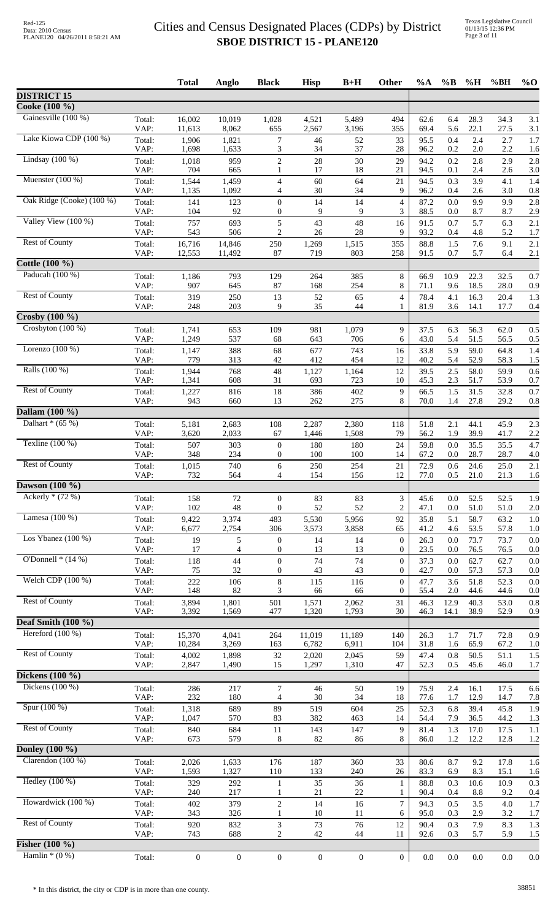|                           |                | <b>Total</b>     | Anglo            | <b>Black</b>                         | <b>Hisp</b>      | $B+H$          | Other                            | %A           | $\%$ B          | %H           | %BH          | $\%$ O     |
|---------------------------|----------------|------------------|------------------|--------------------------------------|------------------|----------------|----------------------------------|--------------|-----------------|--------------|--------------|------------|
| <b>DISTRICT 15</b>        |                |                  |                  |                                      |                  |                |                                  |              |                 |              |              |            |
| Cooke (100 %)             |                |                  |                  |                                      |                  |                |                                  |              |                 |              |              |            |
| Gainesville (100 %)       | Total:<br>VAP: | 16,002<br>11,613 | 10,019<br>8,062  | 1,028<br>655                         | 4,521<br>2,567   | 5,489<br>3,196 | 494<br>355                       | 62.6<br>69.4 | 6.4<br>5.6      | 28.3<br>22.1 | 34.3<br>27.5 | 3.1<br>3.1 |
| Lake Kiowa CDP (100 %)    | Total:<br>VAP: | 1,906<br>1,698   | 1,821<br>1,633   | 7<br>3                               | 46<br>34         | 52<br>37       | 33<br>28                         | 95.5<br>96.2 | 0.4<br>0.2      | 2.4<br>2.0   | 2.7<br>2.2   | 1.7<br>1.6 |
| Lindsay $(100\%)$         | Total:<br>VAP: | 1,018<br>704     | 959<br>665       | $\overline{2}$<br>$\mathbf{1}$       | 28<br>17         | 30<br>18       | 29<br>21                         | 94.2<br>94.5 | 0.2<br>0.1      | 2.8<br>2.4   | 2.9<br>2.6   | 2.8<br>3.0 |
| Muenster $(100\%)$        | Total:         | 1,544            | 1,459            | $\overline{4}$                       | 60               | 64             | 21                               | 94.5         | 0.3             | 3.9          | 4.1          | 1.4        |
| Oak Ridge (Cooke) (100 %) | VAP:<br>Total: | 1,135<br>141     | 1,092<br>123     | 4<br>$\boldsymbol{0}$                | 30<br>14         | 34<br>14       | 9<br>$\overline{\mathcal{L}}$    | 96.2<br>87.2 | 0.4<br>0.0      | 2.6<br>9.9   | 3.0<br>9.9   | 0.8<br>2.8 |
| Valley View (100 %)       | VAP:<br>Total: | 104<br>757       | 92<br>693        | $\theta$<br>$\sqrt{5}$               | 9<br>43          | 9<br>48        | 3<br>16                          | 88.5<br>91.5 | 0.0<br>0.7      | 8.7<br>5.7   | 8.7<br>6.3   | 2.9<br>2.1 |
| <b>Rest of County</b>     | VAP:<br>Total: | 543<br>16,716    | 506<br>14,846    | $\overline{2}$<br>250                | 26<br>1,269      | 28<br>1,515    | 9<br>355                         | 93.2<br>88.8 | 0.4<br>1.5      | 4.8<br>7.6   | 5.2<br>9.1   | 1.7<br>2.1 |
|                           | VAP:           | 12,553           | 11,492           | 87                                   | 719              | 803            | 258                              | 91.5         | 0.7             | 5.7          | 6.4          | 2.1        |
| Cottle (100 %)            |                |                  |                  |                                      |                  |                |                                  |              |                 |              |              |            |
| Paducah (100 %)           | Total:<br>VAP: | 1,186<br>907     | 793<br>645       | 129<br>87                            | 264<br>168       | 385<br>254     | $8\,$<br>8                       | 66.9<br>71.1 | 10.9<br>9.6     | 22.3<br>18.5 | 32.5<br>28.0 | 0.7<br>0.9 |
| <b>Rest of County</b>     | Total:<br>VAP: | 319<br>248       | 250<br>203       | 13<br>9                              | 52<br>35         | 65<br>44       | $\overline{4}$<br>1              | 78.4<br>81.9 | 4.1<br>3.6      | 16.3<br>14.1 | 20.4<br>17.7 | 1.3<br>0.4 |
| $Crossby (100\%)$         |                |                  |                  |                                      |                  |                |                                  |              |                 |              |              |            |
| Crosbyton (100 %)         | Total:<br>VAP: | 1,741<br>1,249   | 653<br>537       | 109<br>68                            | 981<br>643       | 1,079<br>706   | 9<br>6                           | 37.5<br>43.0 | 6.3<br>5.4      | 56.3<br>51.5 | 62.0<br>56.5 | 0.5<br>0.5 |
| Lorenzo $(100\%)$         | Total:         | 1,147            | 388              | 68                                   | 677              | 743            | 16                               | 33.8         | 5.9             | 59.0         | 64.8         | 1.4        |
| Ralls (100 %)             | VAP:<br>Total: | 779<br>1,944     | 313<br>768       | 42<br>48                             | 412<br>1,127     | 454<br>1,164   | 12<br>12                         | 40.2<br>39.5 | 5.4<br>2.5      | 52.9<br>58.0 | 58.3<br>59.9 | 1.5<br>0.6 |
| <b>Rest of County</b>     | VAP:<br>Total: | 1,341<br>1,227   | 608<br>816       | 31<br>18                             | 693<br>386       | 723<br>402     | 10<br>9                          | 45.3<br>66.5 | 2.3<br>1.5      | 51.7<br>31.5 | 53.9<br>32.8 | 0.7<br>0.7 |
|                           | VAP:           | 943              | 660              | 13                                   | 262              | 275            | 8                                | 70.0         | 1.4             | 27.8         | 29.2         | 0.8        |
| Dallam (100 %)            |                |                  |                  |                                      |                  |                |                                  |              |                 |              |              |            |
| Dalhart $*(65%)$          | Total:<br>VAP: | 5,181<br>3,620   | 2,683<br>2,033   | 108<br>67                            | 2,287<br>1,446   | 2,380<br>1,508 | 118<br>79                        | 51.8<br>56.2 | 2.1<br>1.9      | 44.1<br>39.9 | 45.9<br>41.7 | 2.3<br>2.2 |
| Texline $(100\%)$         | Total:<br>VAP: | 507<br>348       | 303<br>234       | $\boldsymbol{0}$<br>$\boldsymbol{0}$ | 180<br>100       | 180<br>100     | 24<br>14                         | 59.8<br>67.2 | 0.0<br>0.0      | 35.5<br>28.7 | 35.5<br>28.7 | 4.7<br>4.0 |
| <b>Rest of County</b>     | Total:         | 1,015            | 740              | 6                                    | 250              | 254            | 21                               | 72.9         | 0.6             | 24.6         | 25.0         | 2.1        |
| Dawson $(100 \%)$         | VAP:           | 732              | 564              | 4                                    | 154              | 156            | 12                               | 77.0         | 0.5             | 21.0         | 21.3         | 1.6        |
| Ackerly $*(72%)$          | Total:         | 158              | 72               | $\theta$                             | 83               | 83             | 3                                | 45.6         | 0.0             | 52.5         | 52.5         | 1.9        |
| Lamesa $(100\%)$          | VAP:           | 102              | 48               | $\overline{0}$                       | 52               | 52             | $\overline{c}$                   | 47.1         | 0.0             | 51.0         | 51.0         | 2.0        |
|                           | Total:<br>VAP: | 9,422<br>6,677   | 3,374<br>2,754   | 483<br>306                           | 5,530<br>3,573   | 5,956<br>3,858 | 92<br>65                         | 35.8<br>41.2 | 5.1<br>4.6      | 58.7<br>53.5 | 63.2<br>57.8 | 1.0<br>1.0 |
| Los Ybanez $(100\%)$      | Total:<br>VAP: | 19<br>17         | 5<br>4           | $\boldsymbol{0}$<br>$\mathbf{0}$     | 14<br>13         | 14<br>13       | 0<br>0                           | 26.3<br>23.5 | 0.0<br>0.0      | 73.7<br>76.5 | 73.7<br>76.5 | 0.0<br>0.0 |
| O'Donnell $*(14\%)$       | Total:<br>VAP: | 118<br>75        | 44<br>32         | $\mathbf{0}$<br>$\boldsymbol{0}$     | 74<br>43         | 74<br>43       | $\overline{0}$<br>$\overline{0}$ | 37.3<br>42.7 | 0.0<br>0.0      | 62.7<br>57.3 | 62.7<br>57.3 | 0.0<br>0.0 |
| Welch CDP (100 %)         | Total:         | 222              | 106              | $\,8\,$                              | 115              | 116            | $\theta$                         | 47.7         | 3.6             | 51.8         | 52.3         | 0.0        |
| <b>Rest of County</b>     | VAP:<br>Total: | 148<br>3,894     | 82<br>1,801      | 3<br>501                             | 66<br>1,571      | 66<br>2,062    | $\overline{0}$<br>31             | 55.4<br>46.3 | $2.0\,$<br>12.9 | 44.6<br>40.3 | 44.6<br>53.0 | 0.0<br>0.8 |
| Deaf Smith $(100 \%)$     | VAP:           | 3,392            | 1,569            | 477                                  | 1,320            | 1,793          | 30                               | 46.3         | 14.1            | 38.9         | 52.9         | 0.9        |
| Hereford $(100\%)$        | Total:         | 15,370           | 4,041            | 264                                  | 11,019           | 11,189         | 140                              | 26.3         | 1.7             | 71.7         | 72.8         | 0.9        |
|                           | VAP:           | 10,284           | 3,269            | 163                                  | 6,782            | 6,911          | 104                              | 31.8         | 1.6             | 65.9         | 67.2         | 1.0        |
| <b>Rest of County</b>     | Total:<br>VAP: | 4,002<br>2,847   | 1,898<br>1,490   | 32<br>15                             | 2,020<br>1,297   | 2,045<br>1,310 | 59<br>47                         | 47.4<br>52.3 | 0.8<br>0.5      | 50.5<br>45.6 | 51.1<br>46.0 | 1.5<br>1.7 |
| Dickens $(100\%$          |                |                  |                  |                                      |                  |                |                                  |              |                 |              |              |            |
| Dickens $(100\%)$         | Total:<br>VAP: | 286<br>232       | 217<br>180       | 7<br>$\overline{4}$                  | 46<br>30         | 50<br>34       | 19<br>$18\,$                     | 75.9<br>77.6 | 2.4<br>1.7      | 16.1<br>12.9 | 17.5<br>14.7 | 6.6<br>7.8 |
| Spur (100 %)              | Total:         | 1,318            | 689              | 89<br>83                             | 519<br>382       | 604<br>463     | 25<br>14                         | 52.3         | 6.8             | 39.4         | 45.8         | 1.9        |
| <b>Rest of County</b>     | VAP:<br>Total: | 1,047<br>840     | 570<br>684       | 11                                   | 143              | 147            | 9                                | 54.4<br>81.4 | 7.9<br>1.3      | 36.5<br>17.0 | 44.2<br>17.5 | 1.3<br>1.1 |
| Donley (100 %)            | VAP:           | 673              | 579              | 8                                    | 82               | 86             | 8                                | 86.0         | $1.2\,$         | 12.2         | 12.8         | 1.2        |
| Clarendon $(100\%)$       | Total:         | 2,026            | 1,633            | 176                                  | 187              | 360            | 33                               | 80.6         | 8.7             | 9.2          | 17.8         | 1.6        |
|                           | VAP:           | 1,593            | 1,327            | 110                                  | 133              | 240            | $26\,$                           | 83.3         | 6.9             | 8.3          | 15.1         | 1.6        |
| Hedley $(100\%)$          | Total:<br>VAP: | 329<br>240       | 292<br>217       | $\mathbf{1}$<br>-1                   | 35<br>21         | 36<br>22       | $\mathbf{1}$<br>1                | 88.8<br>90.4 | 0.3<br>0.4      | 10.6<br>8.8  | 10.9<br>9.2  | 0.3<br>0.4 |
| Howardwick (100 %)        | Total:<br>VAP: | 402<br>343       | 379<br>326       | $\overline{c}$<br>1                  | 14<br>$10\,$     | 16<br>11       | $\tau$<br>6                      | 94.3<br>95.0 | 0.5<br>0.3      | 3.5<br>2.9   | 4.0<br>3.2   | 1.7<br>1.7 |
| <b>Rest of County</b>     | Total:         | 920              | 832              | 3                                    | 73               | 76             | 12                               | 90.4         | 0.3             | 7.9          | 8.3          | 1.3        |
| <b>Fisher</b> $(100\%)$   | VAP:           | 743              | 688              | $\overline{2}$                       | 42               | 44             | 11                               | 92.6         | 0.3             | 5.7          | 5.9          | 1.5        |
| Hamlin $*(0\%)$           | Total:         | $\boldsymbol{0}$ | $\boldsymbol{0}$ | $\mathbf{0}$                         | $\boldsymbol{0}$ | $\mathbf{0}$   | $\boldsymbol{0}$                 | 0.0          | $0.0\,$         | $0.0\,$      | 0.0          | 0.0        |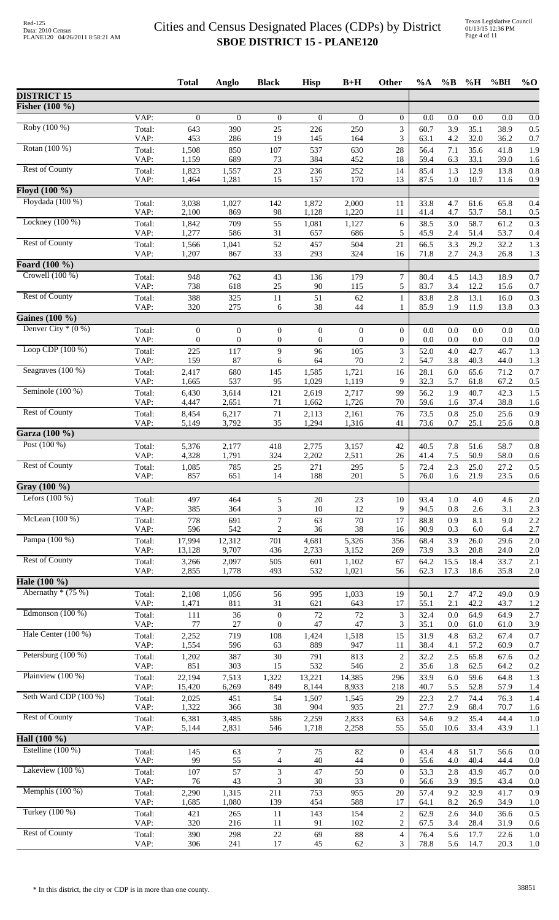|                                    |                | <b>Total</b>     | Anglo            | <b>Black</b>            | <b>Hisp</b>      | $B+H$            | Other                              | $\%A$        | $\%B$      | $\%$ H       | %BH          | $%$ <sup>O</sup> |
|------------------------------------|----------------|------------------|------------------|-------------------------|------------------|------------------|------------------------------------|--------------|------------|--------------|--------------|------------------|
| <b>DISTRICT 15</b>                 |                |                  |                  |                         |                  |                  |                                    |              |            |              |              |                  |
| Fisher (100 %)                     |                |                  |                  |                         |                  |                  |                                    |              |            |              |              |                  |
|                                    | VAP:           | $\boldsymbol{0}$ | $\overline{0}$   | $\boldsymbol{0}$        | $\boldsymbol{0}$ | $\boldsymbol{0}$ | $\overline{0}$                     | 0.0          | 0.0        | 0.0          | 0.0          | 0.0              |
| Roby (100 %)                       | Total:<br>VAP: | 643<br>453       | 390<br>286       | 25<br>19                | 226<br>145       | 250<br>164       | 3<br>3                             | 60.7<br>63.1 | 3.9<br>4.2 | 35.1<br>32.0 | 38.9<br>36.2 | 0.5<br>0.7       |
| Rotan (100 %)                      | Total:         | 1,508            | 850              | 107                     | 537              | 630              | $28\,$                             | 56.4         | 7.1        | 35.6         | 41.8         | 1.9              |
| <b>Rest of County</b>              | VAP:           | 1,159            | 689              | 73                      | 384              | 452              | 18                                 | 59.4         | 6.3        | 33.1         | 39.0         | 1.6              |
|                                    | Total:<br>VAP: | 1,823<br>1,464   | 1,557<br>1,281   | 23<br>15                | 236<br>157       | 252<br>170       | 14<br>13                           | 85.4<br>87.5 | 1.3<br>1.0 | 12.9<br>10.7 | 13.8<br>11.6 | 0.8<br>0.9       |
| Floyd $(100\%$                     |                |                  |                  |                         |                  |                  |                                    |              |            |              |              |                  |
| Floydada (100 %)                   | Total:         | 3,038            | 1,027            | 142                     | 1,872            | 2,000            | 11                                 | 33.8         | 4.7        | 61.6         | 65.8         | 0.4              |
| Lockney (100 %)                    | VAP:<br>Total: | 2,100<br>1,842   | 869<br>709       | 98<br>55                | 1,128<br>1,081   | 1,220<br>1,127   | 11<br>6                            | 41.4<br>38.5 | 4.7<br>3.0 | 53.7<br>58.7 | 58.1<br>61.2 | 0.5<br>0.3       |
|                                    | VAP:           | 1,277            | 586              | 31                      | 657              | 686              | 5                                  | 45.9         | 2.4        | 51.4         | 53.7         | 0.4              |
| <b>Rest of County</b>              | Total:         | 1,566            | 1,041            | 52                      | 457              | 504              | 21                                 | 66.5         | 3.3        | 29.2         | 32.2         | 1.3              |
| Foard (100 %)                      | VAP:           | 1,207            | 867              | 33                      | 293              | 324              | 16                                 | 71.8         | 2.7        | 24.3         | 26.8         | 1.3              |
| Crowell (100 %)                    | Total:         | 948              | 762              | 43                      | 136              | 179              | 7                                  | 80.4         | 4.5        | 14.3         | 18.9         | 0.7              |
|                                    | VAP:           | 738              | 618              | 25                      | 90               | 115              | 5                                  | 83.7         | 3.4        | 12.2         | 15.6         | 0.7              |
| <b>Rest of County</b>              | Total:<br>VAP: | 388<br>320       | 325<br>275       | 11<br>6                 | 51<br>38         | 62<br>44         | 1<br>1                             | 83.8<br>85.9 | 2.8<br>1.9 | 13.1<br>11.9 | 16.0<br>13.8 | 0.3<br>0.3       |
| Gaines (100 %)                     |                |                  |                  |                         |                  |                  |                                    |              |            |              |              |                  |
| Denver City $*(0\%)$               | Total:         | $\boldsymbol{0}$ | $\boldsymbol{0}$ | $\boldsymbol{0}$        | $\boldsymbol{0}$ | $\boldsymbol{0}$ | $\overline{0}$                     | 0.0          | $0.0\,$    | $0.0\,$      | $0.0\,$      | 0.0              |
|                                    | VAP:           | $\theta$         | $\overline{0}$   | $\boldsymbol{0}$        | $\boldsymbol{0}$ | $\theta$         | $\overline{0}$                     | 0.0          | 0.0        | 0.0          | 0.0          | 0.0              |
| Loop CDP $(100\%)$                 | Total:<br>VAP: | 225<br>159       | 117<br>87        | 9<br>6                  | 96<br>64         | 105<br>70        | 3<br>$\overline{c}$                | 52.0<br>54.7 | 4.0<br>3.8 | 42.7<br>40.3 | 46.7<br>44.0 | 1.3<br>1.3       |
| Seagraves (100 %)                  | Total:         | 2,417            | 680              | 145                     | 1,585            | 1,721            | 16                                 | 28.1         | 6.0        | 65.6         | 71.2         | 0.7              |
|                                    | VAP:           | 1,665            | 537              | 95                      | 1,029            | 1,119            | 9                                  | 32.3         | 5.7        | 61.8         | 67.2         | 0.5              |
| Seminole (100 %)                   | Total:<br>VAP: | 6,430<br>4,447   | 3,614<br>2,651   | 121<br>71               | 2,619<br>1,662   | 2,717<br>1,726   | 99<br>70                           | 56.2<br>59.6 | 1.9<br>1.6 | 40.7<br>37.4 | 42.3<br>38.8 | 1.5<br>1.6       |
| <b>Rest of County</b>              | Total:         | 8,454            | 6,217            | $71\,$                  | 2,113            | 2,161            | 76                                 | 73.5         | 0.8        | 25.0         | 25.6         | 0.9              |
|                                    | VAP:           | 5,149            | 3,792            | 35                      | 1,294            | 1,316            | 41                                 | 73.6         | 0.7        | 25.1         | 25.6         | 0.8              |
| Garza (100 %)                      |                |                  |                  |                         |                  |                  |                                    |              |            |              |              |                  |
| Post $(100\%)$                     | Total:<br>VAP: | 5,376<br>4,328   | 2,177<br>1,791   | 418<br>324              | 2,775<br>2,202   | 3,157<br>2,511   | 42<br>26                           | 40.5<br>41.4 | 7.8<br>7.5 | 51.6<br>50.9 | 58.7<br>58.0 | 0.8<br>0.6       |
| <b>Rest of County</b>              | Total:         | 1,085            | 785              | 25                      | 271              | 295              | $\sqrt{5}$                         | 72.4         | 2.3        | 25.0         | 27.2         | 0.5              |
|                                    | VAP:           | 857              | 651              | 14                      | 188              | 201              | 5                                  | 76.0         | 1.6        | 21.9         | 23.5         | 0.6              |
| Gray (100 %)<br>Lefors $(100\%)$   |                |                  |                  |                         |                  |                  |                                    |              |            |              |              |                  |
|                                    | Total:<br>VAP: | 497<br>385       | 464<br>364       | 5<br>3                  | 20<br>10         | 23<br>12         | 10<br>9                            | 93.4<br>94.5 | 1.0<br>0.8 | 4.0<br>$2.6$ | 4.6<br>3.1   | 2.0<br>2.3       |
| McLean $(100\%)$                   | Total:         | 778              | 691              | $\overline{7}$          | 63               | 70               | 17                                 | 88.8         | 0.9        | 8.1          | 9.0          | 2.2              |
| Pampa (100 %)                      | VAP:           | 596              | 542              | 2                       | 36               | 38               | 16                                 | 90.9         | 0.3        | 6.0          | 6.4          | 2.7              |
|                                    | Total:<br>VAP: | 17,994<br>13,128 | 12,312<br>9,707  | 701<br>436              | 4,681<br>2,733   | 5,326<br>3,152   | 356<br>269                         | 68.4<br>73.9 | 3.9<br>3.3 | 26.0<br>20.8 | 29.6<br>24.0 | 2.0<br>2.0       |
| <b>Rest of County</b>              | Total:         | 3,266            | 2,097            | 505                     | 601              | 1,102            | 67                                 | 64.2         | 15.5       | 18.4         | 33.7         | 2.1              |
|                                    | VAP:           | 2,855            | 1,778            | 493                     | 532              | 1,021            | 56                                 | 62.3         | 17.3       | 18.6         | 35.8         | 2.0              |
| Hale (100 %)<br>Abernathy $*(75%)$ | Total:         |                  |                  |                         | 995              |                  |                                    |              |            | 47.2         | 49.0         |                  |
|                                    | VAP:           | 2,108<br>1,471   | 1,056<br>811     | 56<br>31                | 621              | 1,033<br>643     | 19<br>17                           | 50.1<br>55.1 | 2.7<br>2.1 | 42.2         | 43.7         | 0.9<br>1.2       |
| Edmonson $(100\%)$                 | Total:         | 111              | 36               | $\boldsymbol{0}$        | 72               | 72               | $\mathfrak{Z}$                     | 32.4         | 0.0        | 64.9         | 64.9         | 2.7              |
| Hale Center (100 %)                | VAP:           | 77<br>2,252      | 27<br>719        | $\boldsymbol{0}$<br>108 | 47<br>1,424      | 47<br>1,518      | 3<br>15                            | 35.1<br>31.9 | 0.0<br>4.8 | 61.0<br>63.2 | 61.0<br>67.4 | 3.9<br>0.7       |
|                                    | Total:<br>VAP: | 1,554            | 596              | 63                      | 889              | 947              | 11                                 | 38.4         | 4.1        | 57.2         | 60.9         | 0.7              |
| Petersburg (100 %)                 | Total:         | 1,202            | 387              | 30                      | 791              | 813              | $\sqrt{2}$                         | 32.2         | 2.5        | 65.8         | 67.6         | 0.2              |
| Plainview (100 %)                  | VAP:<br>Total: | 851<br>22,194    | 303<br>7,513     | 15<br>1,322             | 532<br>13,221    | 546<br>14,385    | 2<br>296                           | 35.6<br>33.9 | 1.8<br>6.0 | 62.5<br>59.6 | 64.2<br>64.8 | 0.2<br>1.3       |
|                                    | VAP:           | 15,420           | 6,269            | 849                     | 8,144            | 8,933            | 218                                | 40.7         | 5.5        | 52.8         | 57.9         | 1.4              |
| Seth Ward CDP (100 %)              | Total:         | 2,025            | 451              | 54                      | 1,507            | 1,545            | 29                                 | 22.3         | 2.7        | 74.4         | 76.3         | 1.4              |
| <b>Rest of County</b>              | VAP:<br>Total: | 1,322<br>6,381   | 366<br>3,485     | 38<br>586               | 904<br>2,259     | 935<br>2,833     | 21<br>63                           | 27.7<br>54.6 | 2.9<br>9.2 | 68.4<br>35.4 | 70.7<br>44.4 | 1.6<br>1.0       |
|                                    | VAP:           | 5,144            | 2,831            | 546                     | 1,718            | 2,258            | 55                                 | 55.0         | 10.6       | 33.4         | 43.9         | 1.1              |
| Hall $(100\%$                      |                |                  |                  |                         |                  |                  |                                    |              |            |              |              |                  |
| Estelline (100 %)                  | Total:         | 145              | 63               | 7                       | 75               | 82               | $\mathbf{0}$                       | 43.4         | 4.8        | 51.7         | 56.6         | 0.0              |
| Lakeview $(100\%)$                 | VAP:<br>Total: | 99<br>107        | 55<br>57         | 4<br>3                  | 40<br>47         | 44<br>50         | $\boldsymbol{0}$<br>$\overline{0}$ | 55.6<br>53.3 | 4.0<br>2.8 | 40.4<br>43.9 | 44.4<br>46.7 | 0.0<br>0.0       |
|                                    | VAP:           | 76               | 43               | 3                       | 30               | 33               | $\mathbf{0}$                       | 56.6         | 3.9        | 39.5         | 43.4         | 0.0              |
| Memphis $(100\%)$                  | Total:         | 2,290            | 1,315            | 211                     | 753              | 955              | 20                                 | 57.4         | 9.2        | 32.9         | 41.7         | 0.9              |
| Turkey (100 %)                     | VAP:<br>Total: | 1,685<br>421     | 1,080<br>265     | 139<br>11               | 454<br>143       | 588<br>154       | 17<br>$\sqrt{2}$                   | 64.1<br>62.9 | 8.2<br>2.6 | 26.9<br>34.0 | 34.9<br>36.6 | 1.0<br>0.5       |
|                                    | VAP:           | 320              | 216              | 11                      | 91               | 102              | $\overline{c}$                     | 67.5         | 3.4        | 28.4         | 31.9         | 0.6              |
| <b>Rest of County</b>              | Total:<br>VAP: | 390<br>306       | 298<br>241       | $22\,$<br>$17\,$        | 69<br>45         | 88<br>62         | $\overline{4}$<br>$\mathfrak{Z}$   | 76.4<br>78.8 | 5.6<br>5.6 | 17.7<br>14.7 | 22.6<br>20.3 | 1.0<br>1.0       |
|                                    |                |                  |                  |                         |                  |                  |                                    |              |            |              |              |                  |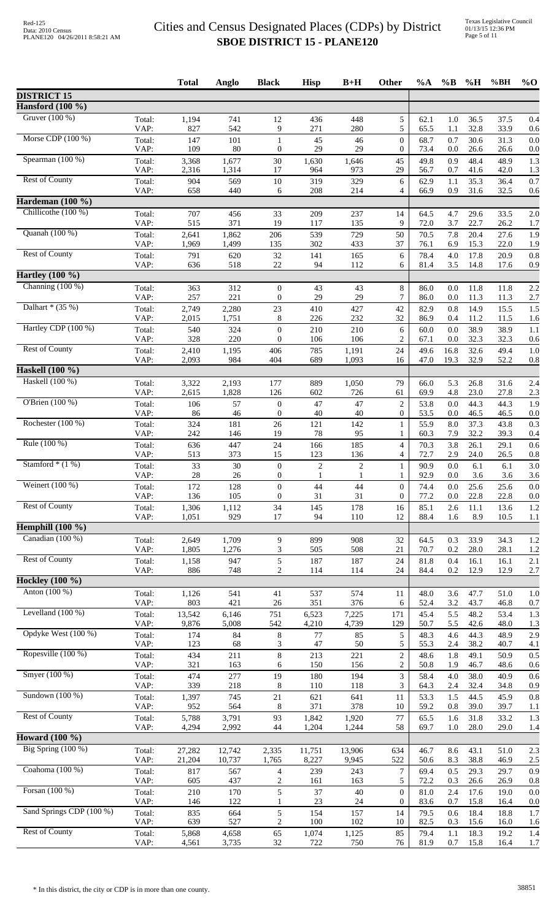|                          |                | <b>Total</b>     | Anglo            | <b>Black</b>                         | <b>Hisp</b>                | $B+H$                          | Other                                | $\%A$        | $\%$ B         | %H           | %BH          | $\%$ O     |
|--------------------------|----------------|------------------|------------------|--------------------------------------|----------------------------|--------------------------------|--------------------------------------|--------------|----------------|--------------|--------------|------------|
| <b>DISTRICT 15</b>       |                |                  |                  |                                      |                            |                                |                                      |              |                |              |              |            |
| Hansford $(100 \%)$      |                |                  |                  |                                      |                            |                                |                                      |              |                |              |              |            |
| Gruver $(100\%)$         | Total:<br>VAP: | 1,194<br>827     | 741<br>542       | 12<br>9                              | 436<br>271                 | 448<br>280                     | 5<br>5                               | 62.1<br>65.5 | 1.0<br>1.1     | 36.5<br>32.8 | 37.5<br>33.9 | 0.4<br>0.6 |
| Morse CDP (100 %)        | Total:<br>VAP: | 147<br>109       | 101<br>$80\,$    | $\mathbf{1}$<br>$\boldsymbol{0}$     | 45<br>29                   | 46<br>29                       | $\overline{0}$<br>0                  | 68.7<br>73.4 | 0.7<br>0.0     | 30.6<br>26.6 | 31.3<br>26.6 | 0.0<br>0.0 |
| Spearman (100 %)         | Total:<br>VAP: | 3,368<br>2,316   | 1,677<br>1,314   | 30<br>17                             | 1,630<br>964               | 1,646<br>973                   | 45<br>29                             | 49.8<br>56.7 | 0.9<br>0.7     | 48.4<br>41.6 | 48.9<br>42.0 | 1.3<br>1.3 |
| <b>Rest of County</b>    | Total:         | 904              | 569              | 10                                   | 319                        | 329                            | 6                                    | 62.9         | 1.1            | 35.3         | 36.4         | 0.7        |
| Hardeman (100 %)         | VAP:           | 658              | 440              | 6                                    | 208                        | 214                            | 4                                    | 66.9         | 0.9            | 31.6         | 32.5         | 0.6        |
| Chillicothe (100 %)      | Total:         | 707              | 456              | 33                                   | 209                        | 237                            | 14                                   | 64.5         | 4.7            | 29.6         | 33.5         | 2.0        |
| Quanah (100 %)           | VAP:           | 515              | 371              | 19                                   | 117                        | 135                            | 9                                    | 72.0         | 3.7            | 22.7         | 26.2         | 1.7        |
|                          | Total:<br>VAP: | 2,641<br>1,969   | 1,862<br>1,499   | 206<br>135                           | 539<br>302                 | 729<br>433                     | 50<br>37                             | 70.5<br>76.1 | 7.8<br>6.9     | 20.4<br>15.3 | 27.6<br>22.0 | 1.9<br>1.9 |
| <b>Rest of County</b>    | Total:<br>VAP: | 791<br>636       | 620<br>518       | 32<br>22                             | 141<br>94                  | 165<br>112                     | 6<br>6                               | 78.4<br>81.4 | 4.0<br>3.5     | 17.8<br>14.8 | 20.9<br>17.6 | 0.8<br>0.9 |
| Hartley $(100\%)$        |                |                  |                  |                                      |                            |                                |                                      |              |                |              |              |            |
| Channing $(100\%)$       | Total:<br>VAP: | 363<br>257       | 312<br>221       | $\theta$<br>$\mathbf{0}$             | 43<br>29                   | 43<br>29                       | 8<br>7                               | 86.0<br>86.0 | 0.0<br>0.0     | 11.8<br>11.3 | 11.8<br>11.3 | 2.2<br>2.7 |
| Dalhart $*(35%)$         | Total:         | 2,749            | 2,280            | 23                                   | 410                        | 427                            | 42                                   | 82.9         | 0.8            | 14.9         | 15.5         | 1.5        |
| Hartley CDP (100 %)      | VAP:<br>Total: | 2,015            | 1,751<br>324     | 8                                    | 226<br>210                 | 232<br>210                     | 32<br>6                              | 86.9<br>60.0 | 0.4<br>0.0     | 11.2<br>38.9 | 11.5<br>38.9 | 1.6<br>1.1 |
|                          | VAP:           | 540<br>328       | 220              | $\boldsymbol{0}$<br>$\mathbf{0}$     | 106                        | 106                            | 2                                    | 67.1         | 0.0            | 32.3         | 32.3         | 0.6        |
| <b>Rest of County</b>    | Total:<br>VAP: | 2,410<br>2,093   | 1,195<br>984     | 406<br>404                           | 785<br>689                 | 1,191<br>1,093                 | 24<br>16                             | 49.6<br>47.0 | 16.8<br>19.3   | 32.6<br>32.9 | 49.4<br>52.2 | 1.0<br>0.8 |
| Haskell (100 %)          |                |                  |                  |                                      |                            |                                |                                      |              |                |              |              |            |
| Haskell (100 %)          | Total:<br>VAP: | 3,322<br>2,615   | 2,193<br>1,828   | 177<br>126                           | 889<br>602                 | 1,050<br>726                   | 79<br>61                             | 66.0<br>69.9 | 5.3<br>4.8     | 26.8<br>23.0 | 31.6<br>27.8 | 2.4<br>2.3 |
| O'Brien (100 %)          | Total:         | 106              | 57               | $\theta$                             | 47                         | 47                             | $\overline{2}$                       | 53.8         | 0.0            | 44.3         | 44.3         | 1.9        |
| Rochester (100 %)        | VAP:<br>Total: | 86<br>324        | 46<br>181        | $\mathbf{0}$<br>26                   | 40<br>121                  | 40<br>142                      | $\overline{0}$<br>$\mathbf{1}$       | 53.5<br>55.9 | 0.0<br>8.0     | 46.5<br>37.3 | 46.5<br>43.8 | 0.0<br>0.3 |
| Rule (100 %)             | VAP:<br>Total: | 242<br>636       | 146<br>447       | 19<br>24                             | 78<br>166                  | 95<br>185                      | 1<br>$\overline{4}$                  | 60.3<br>70.3 | 7.9<br>3.8     | 32.2<br>26.1 | 39.3<br>29.1 | 0.4<br>0.6 |
|                          | VAP:           | 513              | 373              | 15                                   | 123                        | 136                            | 4                                    | 72.7         | 2.9            | 24.0         | 26.5         | 0.8        |
| Stamford $*(1%)$         | Total:<br>VAP: | 33<br>28         | 30<br>26         | $\boldsymbol{0}$<br>$\boldsymbol{0}$ | $\sqrt{2}$<br>$\mathbf{1}$ | $\overline{c}$<br>$\mathbf{1}$ | 1<br>1                               | 90.9<br>92.9 | $0.0\,$<br>0.0 | 6.1<br>3.6   | 6.1<br>3.6   | 3.0<br>3.6 |
| Weinert $(100\%)$        | Total:<br>VAP: | 172<br>136       | 128<br>105       | $\boldsymbol{0}$<br>$\mathbf{0}$     | 44<br>31                   | 44<br>31                       | $\boldsymbol{0}$<br>$\boldsymbol{0}$ | 74.4<br>77.2 | 0.0<br>0.0     | 25.6<br>22.8 | 25.6<br>22.8 | 0.0<br>0.0 |
| <b>Rest of County</b>    | Total:         | 1,306            | 1,112<br>929     | 34                                   | 145                        | 178                            | 16<br>12                             | 85.1         | 2.6            | 11.1         | 13.6         | 1.2        |
| Hemphill $(100 \%)$      | VAP:           | 1,051            |                  | 17                                   | 94                         | 110                            |                                      | 88.4         | 1.6            | 8.9          | 10.5         | 1.1        |
| Canadian (100 %)         | Total:         | 2,649            | 1,709            | 9                                    | 899                        | 908                            | 32                                   | 64.5         | 0.3            | 33.9         | 34.3         | 1.2        |
| <b>Rest of County</b>    | VAP:<br>Total: | 1,805<br>1,158   | 1,276<br>947     | 3<br>$\sqrt{5}$                      | 505<br>187                 | 508<br>187                     | 21<br>24                             | 70.7<br>81.8 | 0.2<br>0.4     | 28.0<br>16.1 | 28.1<br>16.1 | 1.2<br>2.1 |
|                          | VAP:           | 886              | 748              | 2                                    | 114                        | 114                            | 24                                   | 84.4         | 0.2            | 12.9         | 12.9         | 2.7        |
| <b>Hockley</b> (100 %)   |                |                  |                  |                                      |                            |                                |                                      |              |                |              |              |            |
| Anton (100 %)            | Total:<br>VAP: | 1,126<br>803     | 541<br>421       | 41<br>26                             | 537<br>351                 | 574<br>376                     | 11<br>6                              | 48.0<br>52.4 | 3.6<br>3.2     | 47.7<br>43.7 | 51.0<br>46.8 | 1.0<br>0.7 |
| Levelland $(100\%)$      | Total:<br>VAP: | 13,542<br>9,876  | 6,146<br>5,008   | 751<br>542                           | 6,523<br>4,210             | 7,225<br>4,739                 | 171<br>129                           | 45.4<br>50.7 | 5.5<br>5.5     | 48.2<br>42.6 | 53.4<br>48.0 | 1.3<br>1.3 |
| Opdyke West (100 %)      | Total:<br>VAP: | 174<br>123       | 84<br>68         | $\,8$<br>3                           | 77<br>47                   | 85<br>50                       | 5<br>5                               | 48.3<br>55.3 | 4.6<br>2.4     | 44.3<br>38.2 | 48.9<br>40.7 | 2.9        |
| Ropesville (100 %)       | Total:         | 434              | 211              | $\,$ 8 $\,$                          | 213                        | 221                            | $\overline{c}$                       | 48.6         | 1.8            | 49.1         | 50.9         | 4.1<br>0.5 |
| Smyer (100 %)            | VAP:<br>Total: | 321<br>474       | 163<br>277       | 6<br>19                              | 150<br>180                 | 156<br>194                     | 2<br>3                               | 50.8<br>58.4 | 1.9<br>4.0     | 46.7<br>38.0 | 48.6<br>40.9 | 0.6<br>0.6 |
| Sundown (100 %)          | VAP:           | 339              | 218              | 8                                    | 110                        | 118                            | 3                                    | 64.3         | 2.4            | 32.4         | 34.8         | 0.9        |
|                          | Total:<br>VAP: | 1,397<br>952     | 745<br>564       | 21<br>8                              | 621<br>371                 | 641<br>378                     | 11<br>10                             | 53.3<br>59.2 | 1.5<br>0.8     | 44.5<br>39.0 | 45.9<br>39.7 | 0.8<br>1.1 |
| <b>Rest of County</b>    | Total:<br>VAP: | 5,788<br>4,294   | 3,791<br>2,992   | 93<br>44                             | 1,842<br>1,204             | 1,920<br>1,244                 | $77\,$<br>58                         | 65.5<br>69.7 | 1.6<br>1.0     | 31.8<br>28.0 | 33.2<br>29.0 | 1.3<br>1.4 |
| <b>Howard</b> (100 %)    |                |                  |                  |                                      |                            |                                |                                      |              |                |              |              |            |
| Big Spring $(100\%)$     | Total:<br>VAP: | 27,282<br>21,204 | 12,742<br>10,737 | 2,335<br>1,765                       | 11,751<br>8,227            | 13,906<br>9,945                | 634<br>522                           | 46.7<br>50.6 | 8.6<br>8.3     | 43.1<br>38.8 | 51.0<br>46.9 | 2.3<br>2.5 |
| Coahoma (100 %)          | Total:         | 817              | 567              | $\overline{4}$                       | 239                        | 243                            | 7                                    | 69.4         | 0.5            | 29.3         | 29.7         | 0.9        |
| Forsan (100 %)           | VAP:<br>Total: | 605<br>210       | 437<br>170       | $\overline{c}$<br>5                  | 161<br>37                  | 163<br>40                      | 5<br>$\boldsymbol{0}$                | 72.2<br>81.0 | 0.3<br>2.4     | 26.6<br>17.6 | 26.9<br>19.0 | 0.8<br>0.0 |
| Sand Springs CDP (100 %) | VAP:<br>Total: | 146<br>835       | 122<br>664       | 1<br>5                               | 23<br>154                  | 24<br>157                      | $\boldsymbol{0}$<br>14               | 83.6<br>79.5 | 0.7<br>0.6     | 15.8<br>18.4 | 16.4<br>18.8 | 0.0<br>1.7 |
|                          | VAP:           | 639              | 527              | 2                                    | 100                        | 102                            | 10                                   | 82.5         | 0.3            | 15.6         | 16.0         | 1.6        |
| <b>Rest of County</b>    | Total:<br>VAP: | 5,868<br>4,561   | 4,658<br>3,735   | 65<br>32                             | 1,074<br>722               | 1,125<br>750                   | 85<br>76                             | 79.4<br>81.9 | 1.1<br>0.7     | 18.3<br>15.8 | 19.2<br>16.4 | 1.4<br>1.7 |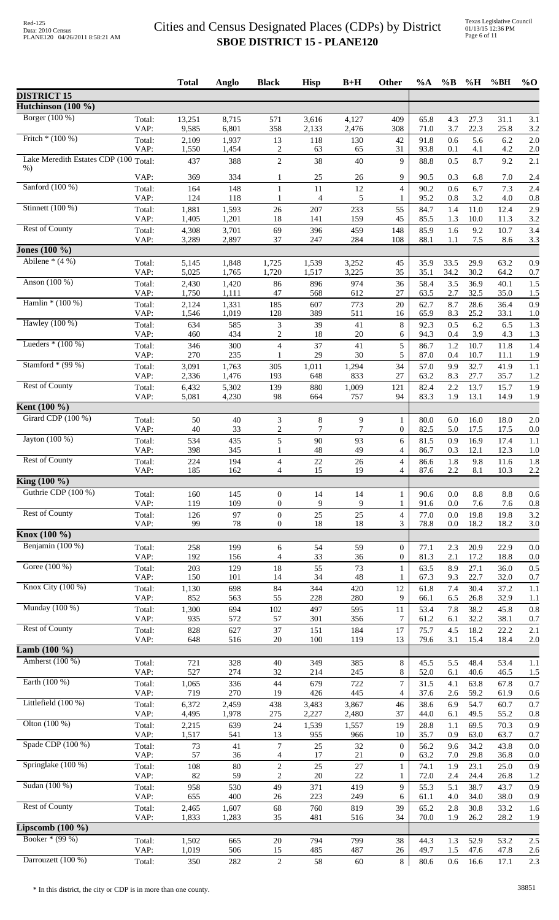|                                       |                | <b>Total</b>   | Anglo          | <b>Black</b>                               | <b>Hisp</b>           | $B+H$          | Other                            | $\%A$        | $\%B$        | $\%$ H       | %BH          | $\%$ O         |
|---------------------------------------|----------------|----------------|----------------|--------------------------------------------|-----------------------|----------------|----------------------------------|--------------|--------------|--------------|--------------|----------------|
| <b>DISTRICT 15</b>                    |                |                |                |                                            |                       |                |                                  |              |              |              |              |                |
| Hutchinson (100 %)<br>Borger (100 %)  | Total:         | 13,251         | 8,715          | 571                                        | 3,616                 | 4,127          | 409                              | 65.8         | 4.3          | 27.3         | 31.1         |                |
|                                       | VAP:           | 9,585          | 6,801          | 358                                        | 2,133                 | 2,476          | 308                              | 71.0         | 3.7          | 22.3         | 25.8         | 3.1<br>3.2     |
| Fritch $*(100\%)$                     | Total:<br>VAP: | 2,109<br>1,550 | 1,937<br>1,454 | 13<br>2                                    | 118<br>63             | 130<br>65      | 42<br>31                         | 91.8<br>93.8 | 0.6<br>0.1   | 5.6<br>4.1   | 6.2<br>4.2   | 2.0<br>2.0     |
| Lake Meredith Estates CDP (100 Total: |                | 437            | 388            | $\overline{c}$                             | 38                    | 40             | 9                                | 88.8         | 0.5          | 8.7          | 9.2          | 2.1            |
| $%$ )                                 | VAP:           | 369            | 334            | 1                                          | 25                    | 26             | 9                                | 90.5         | 0.3          | 6.8          | 7.0          | 2.4            |
| Sanford (100 %)                       | Total:         | 164            | 148            | 1                                          | 11                    | 12             | $\overline{4}$                   | 90.2         | 0.6          | 6.7          | 7.3          | 2.4            |
| Stinnett (100 %)                      | VAP:<br>Total: | 124<br>1,881   | 118<br>1,593   | $\mathbf{1}$<br>26                         | $\overline{4}$<br>207 | 5<br>233       | 1<br>55                          | 95.2<br>84.7 | 0.8<br>1.4   | 3.2<br>11.0  | 4.0<br>12.4  | 0.8<br>2.9     |
|                                       | VAP:           | 1,405          | 1,201          | 18                                         | 141                   | 159            | 45                               | 85.5         | 1.3          | 10.0         | 11.3         | 3.2            |
| <b>Rest of County</b>                 | Total:<br>VAP: | 4,308<br>3,289 | 3,701<br>2,897 | 69<br>37                                   | 396<br>247            | 459<br>284     | 148<br>108                       | 85.9<br>88.1 | 1.6<br>1.1   | 9.2<br>7.5   | 10.7<br>8.6  | 3.4<br>3.3     |
| Jones $(100\%$                        |                |                |                |                                            |                       |                |                                  |              |              |              |              |                |
| Abilene $*(4%)$                       | Total:<br>VAP: | 5,145<br>5,025 | 1,848<br>1,765 | 1,725<br>1,720                             | 1,539<br>1,517        | 3,252<br>3,225 | 45<br>35                         | 35.9<br>35.1 | 33.5<br>34.2 | 29.9<br>30.2 | 63.2<br>64.2 | 0.9<br>0.7     |
| Anson (100 %)                         | Total:         | 2,430          | 1,420          | 86                                         | 896                   | 974            | 36                               | 58.4         | 3.5          | 36.9         | 40.1         | 1.5            |
| Hamlin $*(100\%)$                     | VAP:           | 1,750          | 1,111          | 47                                         | 568                   | 612<br>773     | 27<br>20                         | 63.5<br>62.7 | 2.7<br>8.7   | 32.5<br>28.6 | 35.0<br>36.4 | 1.5<br>0.9     |
|                                       | Total:<br>VAP: | 2,124<br>1,546 | 1,331<br>1,019 | 185<br>128                                 | 607<br>389            | 511            | 16                               | 65.9         | 8.3          | 25.2         | 33.1         | 1.0            |
| Hawley (100 %)                        | Total:<br>VAP: | 634<br>460     | 585<br>434     | $\ensuremath{\mathfrak{Z}}$<br>$\sqrt{2}$  | 39<br>18              | 41<br>20       | $\,8\,$<br>6                     | 92.3<br>94.3 | 0.5<br>0.4   | 6.2<br>3.9   | 6.5<br>4.3   | 1.3<br>1.3     |
| Lueders $*(100\%)$                    | Total:         | 346            | 300            | $\overline{4}$                             | 37                    | 41             | 5                                | 86.7         | 1.2          | 10.7         | 11.8         | 1.4            |
| Stamford $*(99%)$                     | VAP:           | 270            | 235            | $\mathbf{1}$                               | 29                    | 30             | 5                                | 87.0         | 0.4          | 10.7         | 11.1         | 1.9            |
|                                       | Total:<br>VAP: | 3,091<br>2,336 | 1,763<br>1,476 | 305<br>193                                 | 1,011<br>648          | 1,294<br>833   | 34<br>27                         | 57.0<br>63.2 | 9.9<br>8.3   | 32.7<br>27.7 | 41.9<br>35.7 | 1.1<br>1.2     |
| <b>Rest of County</b>                 | Total:         | 6,432          | 5,302          | 139                                        | 880                   | 1,009          | 121                              | 82.4         | 2.2          | 13.7         | 15.7         | 1.9            |
| <b>Kent</b> $(100\%)$                 | VAP:           | 5,081          | 4,230          | 98                                         | 664                   | 757            | 94                               | 83.3         | 1.9          | 13.1         | 14.9         | 1.9            |
| Girard CDP (100 %)                    | Total:         | 50             | 40             | 3                                          | 8                     | 9              | $\mathbf{1}$                     | 80.0         | 6.0          | 16.0         | 18.0         | 2.0            |
| Jayton (100 %)                        | VAP:<br>Total: | 40<br>534      | 33<br>435      | $\overline{2}$<br>5                        | 7<br>90               | $\tau$<br>93   | 0<br>6                           | 82.5<br>81.5 | 5.0<br>0.9   | 17.5<br>16.9 | 17.5<br>17.4 | 0.0<br>1.1     |
|                                       | VAP:           | 398            | 345            |                                            | 48                    | 49             | 4                                | 86.7         | 0.3          | 12.1         | 12.3         | 1.0            |
| <b>Rest of County</b>                 | Total:<br>VAP: | 224<br>185     | 194<br>162     | $\overline{\mathcal{L}}$<br>$\overline{4}$ | 22<br>15              | 26<br>19       | $\overline{4}$<br>4              | 86.6<br>87.6 | 1.8<br>2.2   | 9.8<br>8.1   | 11.6<br>10.3 | 1.8<br>2.2     |
| King (100 %)                          |                |                |                |                                            |                       |                |                                  |              |              |              |              |                |
| Guthrie CDP (100 %)                   | Total:         | 160            | 145            | $\mathbf{0}$                               | 14                    | 14             | $\mathbf{1}$                     | 90.6         | 0.0          | 8.8          | 8.8          | 0.6            |
| <b>Rest of County</b>                 | VAP:<br>Total: | 119<br>126     | 109<br>97      | $\boldsymbol{0}$<br>$\overline{0}$         | 9<br>25               | 9<br>25        | 1<br>$\overline{4}$              | 91.6<br>77.0 | 0.0<br>0.0   | 7.6<br>19.8  | 7.6<br>19.8  | 0.8<br>3.2     |
|                                       | VAP:           | 99             | 78             | $\boldsymbol{0}$                           | 18                    | 18             | 3                                | 78.8         | 0.0          | 18.2         | 18.2         | 3.0            |
| Knox (100 %)<br>Benjamin (100 %)      |                |                |                |                                            |                       |                |                                  |              |              |              |              |                |
|                                       | Total:<br>VAP: | 258<br>192     | 199<br>156     | 6<br>$\overline{4}$                        | 54<br>33              | 59<br>36       | $\mathbf{0}$<br>$\boldsymbol{0}$ | 77.1<br>81.3 | 2.3<br>2.1   | 20.9<br>17.2 | 22.9<br>18.8 | 0.0<br>0.0     |
| Goree (100 %)                         | Total:<br>VAP: | 203<br>150     | 129<br>101     | 18<br>14                                   | 55<br>34              | 73<br>48       | $\mathbf{1}$<br>1                | 63.5<br>67.3 | 8.9<br>9.3   | 27.1<br>22.7 | 36.0<br>32.0 | 0.5<br>0.7     |
| Knox City (100 %)                     | Total:         | 1,130          | 698            | 84                                         | 344                   | 420            | 12                               | 61.8         | 7.4          | 30.4         | 37.2         | 1.1            |
| Munday (100 %)                        | VAP:           | 852            | 563            | 55                                         | 228                   | 280            | 9                                | 66.1         | 6.5          | 26.8         | 32.9         | 1.1            |
|                                       | Total:<br>VAP: | 1,300<br>935   | 694<br>572     | 102<br>57                                  | 497<br>301            | 595<br>356     | 11<br>7                          | 53.4<br>61.2 | 7.8<br>6.1   | 38.2<br>32.2 | 45.8<br>38.1 | 0.8<br>0.7     |
| <b>Rest of County</b>                 | Total:         | 828            | 627            | 37                                         | 151                   | 184            | 17                               | 75.7         | 4.5          | 18.2         | 22.2         | 2.1            |
| <b>Lamb</b> $(100\%)$                 | VAP:           | 648            | 516            | 20                                         | 100                   | 119            | 13                               | 79.6         | 3.1          | 15.4         | 18.4         | 2.0            |
| Amherst (100 %)                       | Total:         | 721            | 328            | 40                                         | 349                   | 385            | $\,8$                            | 45.5         | 5.5          | 48.4         | 53.4         | 1.1            |
| Earth (100 %)                         | VAP:<br>Total: | 527<br>1,065   | 274<br>336     | 32<br>44                                   | 214<br>679            | 245<br>722     | 8<br>$\tau$                      | 52.0<br>31.5 | 6.1<br>4.1   | 40.6<br>63.8 | 46.5<br>67.8 | 1.5<br>0.7     |
|                                       | VAP:           | 719            | 270            | 19                                         | 426                   | 445            | 4                                | 37.6         | 2.6          | 59.2         | 61.9         | 0.6            |
| Littlefield $(100\%)$                 | Total:<br>VAP: | 6,372<br>4,495 | 2,459<br>1,978 | 438<br>275                                 | 3,483<br>2,227        | 3,867<br>2,480 | 46<br>37                         | 38.6<br>44.0 | 6.9<br>6.1   | 54.7<br>49.5 | 60.7<br>55.2 | 0.7<br>0.8     |
| Olton $(100\%)$                       | Total:         | 2,215          | 639            | 24                                         | 1,539                 | 1,557          | 19                               | 28.8         | 1.1          | 69.5         | 70.3         | 0.9            |
| Spade CDP (100 %)                     | VAP:           | 1,517          | 541            | 13                                         | 955                   | 966            | 10                               | 35.7         | 0.9          | 63.0         | 63.7         | 0.7            |
|                                       | Total:<br>VAP: | 73<br>57       | 41<br>36       | 7<br>$\overline{4}$                        | 25<br>17              | 32<br>21       | $\boldsymbol{0}$<br>0            | 56.2<br>63.2 | 9.6<br>7.0   | 34.2<br>29.8 | 43.8<br>36.8 | 0.0<br>0.0     |
| Springlake (100 %)                    | Total:<br>VAP: | 108<br>82      | $80\,$<br>59   | $\sqrt{2}$<br>2                            | 25<br>20              | 27<br>22       | $\mathbf{1}$                     | 74.1<br>72.0 | 1.9<br>2.4   | 23.1<br>24.4 | 25.0<br>26.8 | 0.9            |
| Sudan (100 %)                         | Total:         | 958            | 530            | 49                                         | 371                   | 419            | 1<br>9                           | 55.3         | 5.1          | 38.7         | 43.7         | 1.2<br>0.9     |
| <b>Rest of County</b>                 | VAP:           | 655            | 400            | 26                                         | 223                   | 249            | 6                                | 61.1         | 4.0          | 34.0         | 38.0         | 0.9            |
|                                       | Total:<br>VAP: | 2,465<br>1,833 | 1,607<br>1,283 | 68<br>35                                   | 760<br>481            | 819<br>516     | 39<br>34                         | 65.2<br>70.0 | 2.8<br>1.9   | 30.8<br>26.2 | 33.2<br>28.2 | 1.6<br>1.9     |
| Lipscomb $(100\%$                     |                |                |                |                                            |                       |                |                                  |              |              |              |              |                |
| Booker * (99 %)                       | Total:<br>VAP: | 1,502<br>1,019 | 665<br>506     | 20<br>15                                   | 794<br>485            | 799<br>487     | 38<br>26                         | 44.3<br>49.7 | 1.3<br>1.5   | 52.9<br>47.6 | 53.2<br>47.8 | $2.5\,$<br>2.6 |
| Darrouzett (100 %)                    | Total:         | 350            | 282            | $\overline{c}$                             | 58                    | $60\,$         | $8\,$                            | 80.6         | 0.6          | 16.6         | 17.1         | 2.3            |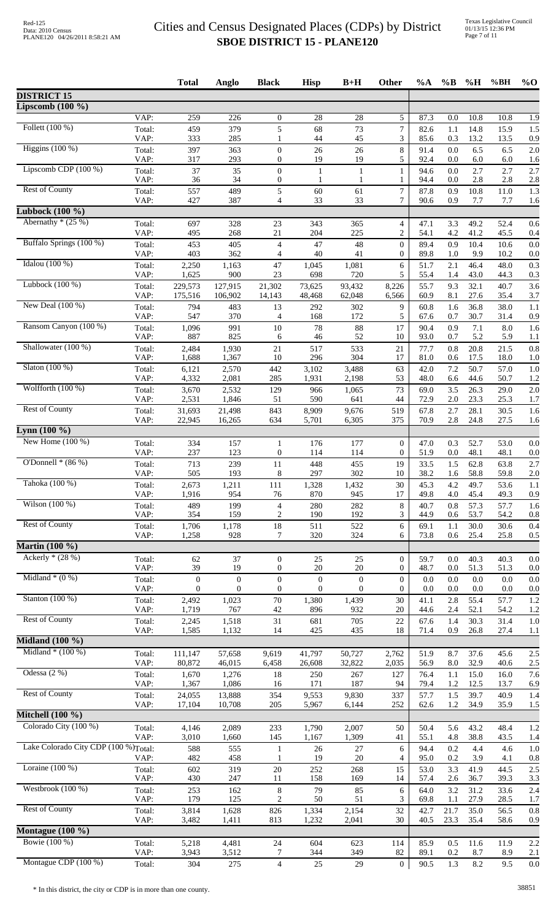|                                                   |                | <b>Total</b>     | Anglo            | <b>Black</b>          | <b>Hisp</b>      | $B+H$            | Other                            | $\%A$        | $\%$ B     | $\%$ H       | %BH          | $\%$ O     |
|---------------------------------------------------|----------------|------------------|------------------|-----------------------|------------------|------------------|----------------------------------|--------------|------------|--------------|--------------|------------|
| <b>DISTRICT 15</b>                                |                |                  |                  |                       |                  |                  |                                  |              |            |              |              |            |
| Lipscomb $(100 \%)$                               | VAP:           | 259              | 226              | $\boldsymbol{0}$      | 28               | 28               | 5                                | 87.3         | 0.0        | 10.8         | 10.8         | 1.9        |
| Follett (100 %)                                   | Total:         | 459              | 379              | 5                     | 68               | 73               | $\overline{7}$                   | 82.6         | 1.1        | 14.8         | 15.9         | 1.5        |
|                                                   | VAP:           | 333              | 285              | 1                     | 44               | 45               | 3                                | 85.6         | 0.3        | 13.2         | 13.5         | 0.9        |
| Higgins $(100\%)$                                 | Total:         | 397              | 363              | $\boldsymbol{0}$      | 26               | 26               | $\,8\,$                          | 91.4         | 0.0        | 6.5          | 6.5          | 2.0        |
|                                                   | VAP:           | 317              | 293              | $\boldsymbol{0}$      | 19               | 19               | 5                                | 92.4         | 0.0        | 6.0          | 6.0          | 1.6        |
| Lipscomb CDP $(100\%)$                            | Total:         | 37               | 35               | $\overline{0}$        | $\mathbf{1}$     | $\mathbf{1}$     | $\mathbf{1}$                     | 94.6         | 0.0        | 2.7          | 2.7          | 2.7        |
|                                                   | VAP:           | 36               | 34               | $\boldsymbol{0}$      | 1                | 1                | 1                                | 94.4         | 0.0        | 2.8          | 2.8          | 2.8        |
| <b>Rest of County</b>                             | Total:         | 557<br>427       | 489              | 5<br>$\overline{4}$   | 60<br>33         | 61<br>33         | $\tau$<br>7                      | 87.8<br>90.6 | 0.9        | 10.8         | 11.0         | 1.3        |
| Lubbock $(100 \%)$                                | VAP:           |                  | 387              |                       |                  |                  |                                  |              | 0.9        | 7.7          | 7.7          | 1.6        |
| Abernathy $*(25%)$                                | Total:         | 697              | 328              | 23                    | 343              | 365              | $\overline{4}$                   | 47.1         | 3.3        | 49.2         | 52.4         | 0.6        |
|                                                   | VAP:           | 495              | 268              | 21                    | 204              | 225              | $\overline{c}$                   | 54.1         | 4.2        | 41.2         | 45.5         | 0.4        |
| Buffalo Springs (100 %)                           | Total:<br>VAP: | 453<br>403       | 405<br>362       | $\overline{4}$<br>4   | 47<br>40         | 48<br>41         | $\mathbf{0}$<br>$\overline{0}$   | 89.4         | 0.9        | 10.4<br>9.9  | 10.6<br>10.2 | 0.0        |
| Idalou $(100\%)$                                  | Total:         | 2,250            | 1,163            | 47                    | 1,045            | 1,081            | 6                                | 89.8<br>51.7 | 1.0<br>2.1 | 46.4         | 48.0         | 0.0<br>0.3 |
| Lubbock $(100\%)$                                 | VAP:           | 1,625            | 900              | 23                    | 698              | 720              | 5                                | 55.4         | 1.4        | 43.0         | 44.3         | 0.3        |
|                                                   | Total:         | 229,573          | 127,915          | 21,302                | 73,625           | 93,432           | 8,226                            | 55.7         | 9.3        | 32.1         | 40.7         | 3.6        |
| New Deal (100 %)                                  | VAP:           | 175,516          | 106,902          | 14,143                | 48,468           | 62,048           | 6,566                            | 60.9         | 8.1        | 27.6         | 35.4         | 3.7        |
|                                                   | Total:         | 794              | 483              | 13                    | 292              | 302              | 9                                | 60.8         | 1.6        | 36.8         | 38.0         | 1.1        |
| Ransom Canyon (100 %)                             | VAP:           | 547              | 370              | 4                     | 168              | 172              | 5                                | 67.6         | 0.7        | 30.7         | 31.4         | 0.9        |
|                                                   | Total:         | 1,096            | 991              | 10                    | 78               | 88               | 17                               | 90.4         | 0.9        | 7.1          | 8.0          | 1.6        |
|                                                   | VAP:           | 887              | 825              | 6                     | 46               | 52               | 10                               | 93.0         | 0.7        | 5.2          | 5.9          | 1.1        |
| Shallowater (100 %)                               | Total:         | 2,484            | 1,930            | 21                    | 517              | 533              | 21                               | 77.7         | 0.8        | 20.8         | 21.5         | 0.8        |
|                                                   | VAP:           | 1,688            | 1,367            | 10                    | 296              | 304              | 17                               | 81.0         | 0.6        | 17.5         | 18.0         | 1.0        |
| Slaton $(100\%)$                                  | Total:         | 6,121            | 2,570            | 442                   | 3,102            | 3,488            | 63                               | 42.0         | 7.2        | 50.7         | 57.0         | 1.0        |
|                                                   | VAP:           | 4,332            | 2,081            | 285                   | 1,931            | 2,198            | 53                               | 48.0         | 6.6        | 44.6         | 50.7         | 1.2        |
| Wolfforth (100 %)                                 | Total:         | 3,670            | 2,532            | 129                   | 966              | 1,065            | 73                               | 69.0         | 3.5        | 26.3         | 29.0         | 2.0        |
|                                                   | VAP:           | 2,531            | 1,846            | 51                    | 590              | 641              | 44                               | 72.9         | 2.0        | 23.3         | 25.3         | 1.7        |
| <b>Rest of County</b>                             | Total:         | 31,693           | 21,498           | 843                   | 8,909            | 9,676            | 519                              | 67.8<br>70.9 | 2.7        | 28.1         | 30.5         | 1.6        |
| Lynn $(100 \%)$                                   | VAP:           | 22,945           | 16,265           | 634                   | 5,701            | 6,305            | 375                              |              | 2.8        | 24.8         | 27.5         | 1.6        |
| New Home $(100\%)$                                | Total:<br>VAP: | 334<br>237       | 157<br>123       | 1<br>$\boldsymbol{0}$ | 176<br>114       | 177<br>114       | $\mathbf{0}$<br>$\boldsymbol{0}$ | 47.0<br>51.9 | 0.3<br>0.0 | 52.7<br>48.1 | 53.0<br>48.1 | 0.0        |
| O'Donnell $*(86\%)$                               | Total:         | 713              | 239              | 11                    | 448              | 455              | 19                               | 33.5         | 1.5        | 62.8         | 63.8         | 0.0<br>2.7 |
| Tahoka (100 %)                                    | VAP:           | 505              | 193              | 8                     | 297              | 302              | 10                               | 38.2         | 1.6        | 58.8         | 59.8         | 2.0        |
|                                                   | Total:         | 2,673            | 1,211            | 111                   | 1,328            | 1,432            | $30\,$                           | 45.3         | 4.2        | 49.7         | 53.6         | $1.1\,$    |
| Wilson (100 %)                                    | VAP:           | 1,916            | 954              | 76                    | 870              | 945              | 17                               | 49.8         | 4.0        | 45.4         | 49.3         | 0.9        |
|                                                   | Total:         | 489              | 199              | $\overline{4}$        | 280              | 282              | $\,8$                            | 40.7         | 0.8        | 57.3         | 57.7         | 1.6        |
| <b>Rest of County</b>                             | VAP:           | 354              | 159              | $\overline{c}$        | 190              | 192              | 3                                | 44.9         | 0.6        | 53.7         | 54.2         | 0.8        |
|                                                   | Total:         | 1,706            | 1,178            | 18                    | 511              | 522              | 6                                | 69.1         | 1.1        | 30.0         | 30.6         | 0.4        |
|                                                   | VAP:           | 1,258            | 928              | 7                     | 320              | 324              | 6                                | 73.8         | 0.6        | 25.4         | 25.8         | 0.5        |
| <b>Martin (100 %)</b><br>Ackerly $*(28%)$         |                |                  |                  |                       |                  |                  |                                  |              |            |              |              |            |
|                                                   | Total:         | 62               | 37               | $\boldsymbol{0}$      | 25               | 25               | $\overline{0}$                   | 59.7         | 0.0        | 40.3         | 40.3         | 0.0        |
|                                                   | VAP:           | 39               | 19               | 0                     | 20               | 20               | $\mathbf{0}$                     | 48.7         | 0.0        | 51.3         | 51.3         | 0.0        |
| Midland $*(0\%)$                                  | Total:         | $\boldsymbol{0}$ | $\boldsymbol{0}$ | $\boldsymbol{0}$      | $\boldsymbol{0}$ | $\mathbf{0}$     | $\mathbf{0}$                     | 0.0          | 0.0        | 0.0          | 0.0          | 0.0        |
|                                                   | VAP:           | 0                | $\mathbf{0}$     | $\overline{0}$        | $\boldsymbol{0}$ | $\boldsymbol{0}$ | $\overline{0}$                   | 0.0          | 0.0        | 0.0          | 0.0          | 0.0        |
| Stanton $(100\%)$                                 | Total:         | 2,492            | 1,023            | $70\,$                | 1,380            | 1,439            | 30                               | 41.1         | 2.8        | 55.4         | 57.7         | 1.2        |
|                                                   | VAP:           | 1,719            | 767              | 42                    | 896              | 932              | 20                               | 44.6         | 2.4        | 52.1         | 54.2         | 1.2        |
| <b>Rest of County</b>                             | Total:         | 2,245            | 1,518            | 31                    | 681              | 705              | $22\,$                           | 67.6         | 1.4        | 30.3         | 31.4         | 1.0        |
|                                                   | VAP:           | 1,585            | 1,132            | 14                    | 425              | 435              | 18                               | 71.4         | 0.9        | 26.8         | 27.4         | 1.1        |
| Midland $(100\%$                                  |                |                  |                  |                       |                  |                  |                                  |              |            |              |              |            |
| Midland $*(100\%)$                                | Total:         | 111,147          | 57,658           | 9,619                 | 41,797           | 50,727           | 2,762                            | 51.9         | 8.7        | 37.6         | 45.6         | 2.5        |
|                                                   | VAP:           | 80,872           | 46,015           | 6,458                 | 26,608           | 32,822           | 2,035                            | 56.9         | 8.0        | 32.9         | 40.6         | 2.5        |
| Odessa $(2\%)$                                    | Total:         | 1,670            | 1,276            | 18                    | 250              | 267              | 127                              | 76.4         | 1.1        | 15.0         | 16.0         | 7.6        |
|                                                   | VAP:           | 1,367            | 1,086            | 16                    | 171              | 187              | 94                               | 79.4         | 1.2        | 12.5         | 13.7         | 6.9        |
| <b>Rest of County</b>                             | Total:         | 24,055           | 13,888           | 354                   | 9,553            | 9,830            | 337                              | 57.7         | 1.5        | 39.7         | 40.9         | 1.4        |
|                                                   | VAP:           | 17,104           | 10,708           | 205                   | 5,967            | 6,144            | 252                              | 62.6         | 1.2        | 34.9         | 35.9         | 1.5        |
| Mitchell (100 %)                                  |                |                  |                  |                       |                  |                  |                                  |              |            |              |              |            |
| Colorado City (100 %)                             | Total:         | 4,146            | 2,089            | 233                   | 1,790            | 2,007            | 50                               | 50.4         | 5.6        | 43.2         | 48.4         | 1.2        |
|                                                   | VAP:           | 3,010            | 1,660            | 145                   | 1,167            | 1,309            | 41                               | 55.1         | 4.8        | 38.8         | 43.5         | 1.4        |
| Lake Colorado City CDP (100 %) <sub>Total</sub> : |                | 588<br>482       | 555              | 1<br>1                | 26<br>19         | 27<br>20         | 6<br>4                           | 94.4         | 0.2        | 4.4<br>3.9   | 4.6          | 1.0        |
| Loraine $(100\%)$                                 | VAP:<br>Total: | 602              | 458<br>319       | $20\,$                | 252              | 268              | 15                               | 95.0<br>53.0 | 0.2<br>3.3 | 41.9         | 4.1<br>44.5  | 0.8<br>2.5 |
| Westbrook (100 %)                                 | VAP:           | 430              | 247              | 11                    | 158              | 169              | 14                               | 57.4         | 2.6        | 36.7         | 39.3         | 3.3        |
|                                                   | Total:         | 253              | 162              | 8                     | 79               | 85               | 6                                | 64.0         | 3.2        | 31.2         | 33.6         | 2.4        |
| <b>Rest of County</b>                             | VAP:           | 179              | 125              | $\overline{c}$        | 50               | 51               | 3                                | 69.8         | 1.1        | 27.9         | 28.5         | 1.7        |
|                                                   | Total:         | 3,814            | 1,628            | 826                   | 1,334            | 2,154            | 32                               | 42.7         | 21.7       | 35.0         | 56.5         | 0.8        |
|                                                   | VAP:           | 3,482            | 1,411            | 813                   | 1,232            | 2,041            | 30                               | 40.5         | 23.3       | 35.4         | 58.6         | 0.9        |
| Montague $(100 \%)$<br>Bowie (100 %)              |                |                  |                  |                       |                  |                  |                                  |              |            |              |              |            |
|                                                   | Total:         | 5,218            | 4,481            | 24                    | 604              | 623              | 114                              | 85.9         | 0.5        | 11.6         | 11.9         | 2.2        |
|                                                   | VAP:           | 3,943            | 3,512            | 7                     | 344              | 349              | 82                               | 89.1         | 0.2        | 8.7          | 8.9          | 2.1        |
| Montague CDP (100 %)                              | Total:         | 304              | 275              | $\overline{4}$        | $25\,$           | 29               | $\boldsymbol{0}$                 | 90.5         | 1.3        | 8.2          | 9.5          | $0.0\,$    |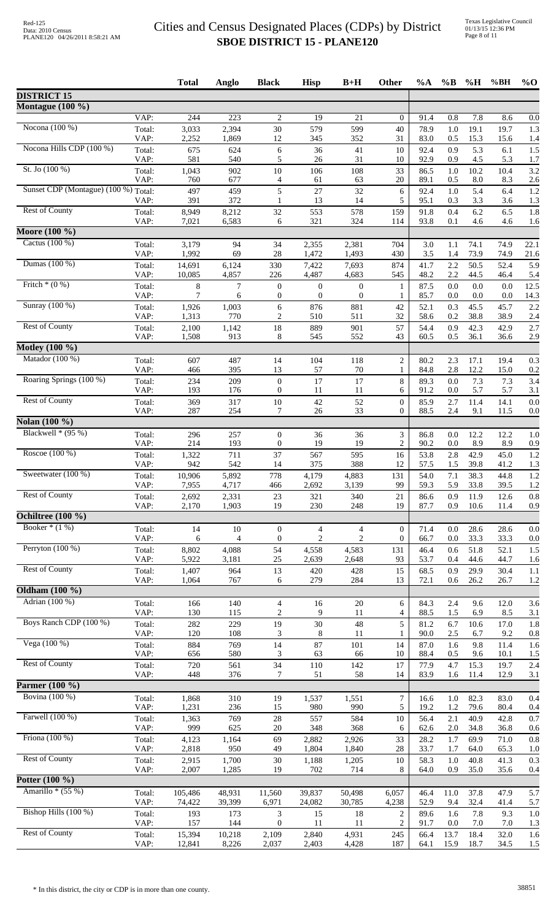| VAP:<br>244<br>$\overline{223}$<br>7.8<br>$\overline{2}$<br>19<br>21<br>$\boldsymbol{0}$<br>0.8<br>8.6<br>0.0<br>91.4<br>Nocona $(100\%)$<br>30<br>19.1<br>3,033<br>2,394<br>579<br>599<br>40<br>78.9<br>1.0<br>19.7<br>1.3<br>Total:<br>2,252<br>VAP:<br>1,869<br>12<br>345<br>352<br>31<br>83.0<br>0.5<br>15.3<br>15.6<br>1.4<br>Nocona Hills CDP (100 %)<br>5.3<br>1.5<br>Total:<br>675<br>624<br>6<br>36<br>41<br>10<br>92.4<br>0.9<br>6.1<br>VAP:<br>581<br>540<br>5<br>31<br>92.9<br>0.9<br>4.5<br>26<br>10<br>5.3<br>1.7<br>St. Jo $(100\%)$<br>3.2<br>902<br>33<br>10.2<br>Total:<br>1,043<br>10<br>106<br>108<br>1.0<br>10.4<br>86.5<br>VAP:<br>760<br>677<br>0.5<br>8.0<br>2.6<br>$\overline{4}$<br>61<br>63<br>20<br>89.1<br>8.3<br>Sunset CDP (Montague) (100 %) Total:<br>5<br>1.2<br>497<br>459<br>27<br>32<br>5.4<br>6<br>92.4<br>1.0<br>6.4<br>372<br>3.3<br>1.3<br>391<br>13<br>14<br>5<br>95.1<br>0.3<br>3.6<br>VAP:<br>$\mathbf{1}$<br><b>Rest of County</b><br>6.2<br>1.8<br>8,949<br>8,212<br>32<br>553<br>578<br>159<br>0.4<br>6.5<br>Total:<br>91.8<br>VAP:<br>6,583<br>321<br>324<br>93.8<br>4.6<br>7,021<br>114<br>0.1<br>4.6<br>1.6<br>6<br>Moore (100 %)<br>Cactus (100 %)<br>Total:<br>3,179<br>94<br>34<br>74.1<br>22.1<br>2,355<br>2,381<br>704<br>3.0<br>1.1<br>74.9<br>VAP:<br>1,992<br>69<br>28<br>1,472<br>1,493<br>3.5<br>73.9<br>430<br>1.4<br>74.9<br>Dumas (100 %)<br>50.5<br>52.4<br>5.9<br>Total:<br>14,691<br>6,124<br>330<br>7,422<br>7,693<br>874<br>41.7<br>2.2<br>4,857<br>2.2<br>VAP:<br>10,085<br>226<br>4,487<br>4,683<br>545<br>48.2<br>44.5<br>46.4<br>5.4<br>Fritch $*(0\%)$<br>$\,8\,$<br>$\overline{7}$<br>0.0<br>Total:<br>$\boldsymbol{0}$<br>$\boldsymbol{0}$<br>$\boldsymbol{0}$<br>87.5<br>0.0<br>0.0<br>12.5<br>$\mathbf{1}$<br>VAP:<br>7<br>$\boldsymbol{0}$<br>$\boldsymbol{0}$<br>$\boldsymbol{0}$<br>14.3<br>85.7<br>0.0<br>0.0<br>0.0<br>6<br>1<br>Sunray (100 %)<br>2.2<br>1,003<br>6<br>876<br>52.1<br>0.3<br>45.5<br>45.7<br>Total:<br>1,926<br>881<br>42<br>$\overline{c}$<br>38.8<br>VAP:<br>1,313<br>770<br>510<br>511<br>32<br>58.6<br>0.2<br>38.9<br>2.4<br><b>Rest of County</b><br>42.3<br>Total:<br>2,100<br>1,142<br>18<br>889<br>901<br>57<br>54.4<br>0.9<br>42.9<br>2.7<br>VAP:<br>913<br>8<br>545<br>43<br>60.5<br>0.5<br>36.1<br>2.9<br>1,508<br>552<br>36.6<br>Motley (100 %)<br>Matador (100 %)<br>$\sqrt{2}$<br>607<br>487<br>14<br>104<br>118<br>80.2<br>2.3<br>17.1<br>19.4<br>0.3<br>Total:<br>395<br>VAP:<br>13<br>57<br>70<br>84.8<br>2.8<br>12.2<br>15.0<br>0.2<br>466<br>$\mathbf{1}$<br>Roaring Springs (100 %)<br>8<br>3.4<br>209<br>$\boldsymbol{0}$<br>17<br>17<br>89.3<br>0.0<br>7.3<br>7.3<br>Total:<br>234<br>VAP:<br>193<br>176<br>$\boldsymbol{0}$<br>11<br>5.7<br>11<br>6<br>91.2<br>0.0<br>5.7<br>3.1<br><b>Rest of County</b><br>42<br>52<br>$\mathbf{0}$<br>11.4<br>14.1<br>0.0<br>Total:<br>369<br>317<br>$10\,$<br>85.9<br>2.7<br>VAP:<br>287<br>254<br>33<br>9.1<br>7<br>26<br>$\overline{0}$<br>88.5<br>2.4<br>11.5<br>0.0<br>Nolan (100 %)<br>Blackwell $*(95\%)$<br>296<br>257<br>$\boldsymbol{0}$<br>36<br>36<br>3<br>12.2<br>12.2<br>1.0<br>Total:<br>86.8<br>0.0<br>VAP:<br>214<br>193<br>$\theta$<br>19<br>19<br>$\overline{c}$<br>90.2<br>8.9<br>0.0<br>8.9<br>0.9<br>Roscoe (100 %)<br>711<br>42.9<br>1.2<br>1,322<br>37<br>567<br>595<br>16<br>53.8<br>2.8<br>45.0<br>Total:<br>39.8<br>VAP:<br>942<br>542<br>14<br>375<br>388<br>12<br>57.5<br>1.5<br>41.2<br>1.3<br>Sweetwater (100 %)<br>38.3<br>1.2<br>10,906<br>5,892<br>778<br>4,179<br>4,883<br>131<br>54.0<br>7.1<br>44.8<br>Total:<br>VAP:<br>7,955<br>4,717<br>466<br>2,692<br>3,139<br>99<br>59.3<br>5.9<br>33.8<br>39.5<br>1.2<br><b>Rest of County</b><br>$21\,$<br>12.6<br>0.8<br>Total:<br>2,692<br>2,331<br>23<br>321<br>340<br>86.6<br>0.9<br>11.9<br>VAP:<br>2,170<br>1,903<br>19<br>230<br>19<br>87.7<br>10.6<br>0.9<br>248<br>0.9<br>11.4<br>Booker $*(1%)$<br>Total:<br>14<br>10<br>$\overline{0}$<br>0.0<br>28.6<br>28.6<br>0.0<br>$\boldsymbol{0}$<br>4<br>4<br>71.4<br>$\mathbf{2}$<br>VAP:<br>6<br>$\overline{2}$<br>33.3<br>4<br>$\boldsymbol{0}$<br>$\overline{0}$<br>66.7<br>0.0<br>33.3<br>0.0<br>Perryton $(100\%)$<br>4,088<br>54<br>1.5<br>Total:<br>8,802<br>4,558<br>4,583<br>131<br>46.4<br>0.6<br>51.8<br>52.1<br>VAP:<br>5,922<br>3,181<br>25<br>2,639<br>2,648<br>93<br>53.7<br>0.4<br>44.6<br>44.7<br>1.6<br><b>Rest of County</b><br>15<br>1,407<br>964<br>13<br>68.5<br>0.9<br>29.9<br>30.4<br>1.1<br>Total:<br>420<br>428<br>767<br>279<br>284<br>VAP:<br>1,064<br>13<br>26.2<br>26.7<br>1.2<br>6<br>72.1<br>0.6<br>Adrian (100 %)<br>Total:<br>166<br>140<br>$\overline{4}$<br>20<br>6<br>9.6<br>3.6<br>16<br>84.3<br>2.4<br>12.0<br>VAP:<br>$\overline{c}$<br>1.5<br>130<br>115<br>9<br>11<br>4<br>88.5<br>6.9<br>8.5<br>3.1<br>Boys Ranch CDP (100 %)<br>48<br>5<br>Total:<br>282<br>229<br>19<br>30<br>1.8<br>81.2<br>6.7<br>10.6<br>17.0<br>VAP:<br>120<br>108<br>8<br>$2.5\,$<br>9.2<br>3<br>11<br>1<br>90.0<br>6.7<br>0.8<br>Vega (100 %)<br>884<br>14<br>87<br>9.8<br>11.4<br>Total:<br>769<br>101<br>14<br>87.0<br>1.6<br>1.6<br>VAP:<br>580<br>656<br>63<br>66<br>10<br>88.4<br>9.6<br>10.1<br>1.5<br>3<br>0.5<br><b>Rest of County</b><br>34<br>2.4<br>142<br>15.3<br>Total:<br>720<br>561<br>110<br>17<br>77.9<br>4.7<br>19.7<br>376<br>VAP:<br>448<br>7<br>51<br>58<br>83.9<br>11.4<br>12.9<br>3.1<br>14<br>1.6<br>Bovina (100 %)<br>310<br>$\boldsymbol{7}$<br>Total:<br>1,868<br>19<br>1,537<br>1,551<br>$1.0\,$<br>82.3<br>83.0<br>0.4<br>16.6<br>5<br>15<br>79.6<br>VAP:<br>1,231<br>236<br>980<br>990<br>19.2<br>1.2<br>80.4<br>0.4<br>Farwell (100 %)<br>2.1<br>40.9<br>Total:<br>1,363<br>769<br>$28\,$<br>557<br>584<br>10<br>56.4<br>42.8<br>0.7<br>VAP:<br>999<br>625<br>$20\,$<br>34.8<br>348<br>368<br>62.6<br>2.0<br>36.8<br>6<br>0.6<br>Friona $(100\%)$<br>1,164<br>2,926<br>69.9<br>Total:<br>4,123<br>69<br>2,882<br>33<br>28.2<br>1.7<br>71.0<br>0.8<br>VAP:<br>2,818<br>950<br>49<br>1,804<br>1,840<br>28<br>33.7<br>64.0<br>65.3<br>1.7<br>1.0<br><b>Rest of County</b><br>Total:<br>30<br>10<br>58.3<br>1.0<br>40.8<br>41.3<br>0.3<br>2,915<br>1,700<br>1,188<br>1,205<br>2,007<br>1,285<br>8<br>35.0<br>VAP:<br>19<br>702<br>714<br>64.0<br>0.9<br>35.6<br>0.4<br>Potter $(100\%$<br>Amarillo $*(55%)$<br>48,931<br>50,498<br>37.8<br>47.9<br>5.7<br>Total:<br>105,486<br>11,560<br>39,837<br>6,057<br>46.4<br>11.0<br>VAP:<br>74,422<br>39,399<br>30,785<br>32.4<br>6,971<br>24,082<br>4,238<br>52.9<br>9.4<br>41.4<br>5.7<br>Bishop Hills (100 %)<br>Total:<br>193<br>173<br>3<br>18<br>$\overline{c}$<br>89.6<br>1.6<br>7.8<br>9.3<br>1.0<br>15<br>VAP:<br>157<br>144<br>$\overline{0}$<br>2<br>11<br>11<br>91.7<br>0.0<br>7.0<br>7.0<br>1.3<br><b>Rest of County</b><br>15,394<br>10,218<br>2,109<br>2,840<br>4,931<br>245<br>66.4<br>13.7<br>18.4<br>32.0<br>1.6<br>Total: |                          |      | <b>Total</b> | Anglo | <b>Black</b> | <b>Hisp</b> | $B+H$ | Other | $\%A$ | $\%$ B | $\%$ H | %BH  | $%$ <sup>O</sup> |
|----------------------------------------------------------------------------------------------------------------------------------------------------------------------------------------------------------------------------------------------------------------------------------------------------------------------------------------------------------------------------------------------------------------------------------------------------------------------------------------------------------------------------------------------------------------------------------------------------------------------------------------------------------------------------------------------------------------------------------------------------------------------------------------------------------------------------------------------------------------------------------------------------------------------------------------------------------------------------------------------------------------------------------------------------------------------------------------------------------------------------------------------------------------------------------------------------------------------------------------------------------------------------------------------------------------------------------------------------------------------------------------------------------------------------------------------------------------------------------------------------------------------------------------------------------------------------------------------------------------------------------------------------------------------------------------------------------------------------------------------------------------------------------------------------------------------------------------------------------------------------------------------------------------------------------------------------------------------------------------------------------------------------------------------------------------------------------------------------------------------------------------------------------------------------------------------------------------------------------------------------------------------------------------------------------------------------------------------------------------------------------------------------------------------------------------------------------------------------------------------------------------------------------------------------------------------------------------------------------------------------------------------------------------------------------------------------------------------------------------------------------------------------------------------------------------------------------------------------------------------------------------------------------------------------------------------------------------------------------------------------------------------------------------------------------------------------------------------------------------------------------------------------------------------------------------------------------------------------------------------------------------------------------------------------------------------------------------------------------------------------------------------------------------------------------------------------------------------------------------------------------------------------------------------------------------------------------------------------------------------------------------------------------------------------------------------------------------------------------------------------------------------------------------------------------------------------------------------------------------------------------------------------------------------------------------------------------------------------------------------------------------------------------------------------------------------------------------------------------------------------------------------------------------------------------------------------------------------------------------------------------------------------------------------------------------------------------------------------------------------------------------------------------------------------------------------------------------------------------------------------------------------------------------------------------------------------------------------------------------------------------------------------------------------------------------------------------------------------------------------------------------------------------------------------------------------------------------------------------------------------------------------------------------------------------------------------------------------------------------------------------------------------------------------------------------------------------------------------------------------------------------------------------------------------------------------------------------------------------------------------------------------------------------------------------------------------------------------------------------------------------------------------------------------------------------------------------------------------------------------------------------------------------------------------------------------------------------------------------------------------------------------------------------------------------------------------------------------------------------------------------------------------------------------------------------------------------------------------------------------------------------------------------------------------------------------------------------------------------------------------------------------------------------------------------------------------------------------------------------------------------------------------------------------------------------------------------------------------------------------------------------------------------------------------------------------------------------------------------------------------------------------------------------------------------------------------------------------------------------------------------------------------------------------------------------------------------------------------------------------------------------------------------------------------------------------------------------------------------------------------------------------------------------------------------------------------------------------------------------------------------------------------------------------------------|--------------------------|------|--------------|-------|--------------|-------------|-------|-------|-------|--------|--------|------|------------------|
| 21.6                                                                                                                                                                                                                                                                                                                                                                                                                                                                                                                                                                                                                                                                                                                                                                                                                                                                                                                                                                                                                                                                                                                                                                                                                                                                                                                                                                                                                                                                                                                                                                                                                                                                                                                                                                                                                                                                                                                                                                                                                                                                                                                                                                                                                                                                                                                                                                                                                                                                                                                                                                                                                                                                                                                                                                                                                                                                                                                                                                                                                                                                                                                                                                                                                                                                                                                                                                                                                                                                                                                                                                                                                                                                                                                                                                                                                                                                                                                                                                                                                                                                                                                                                                                                                                                                                                                                                                                                                                                                                                                                                                                                                                                                                                                                                                                                                                                                                                                                                                                                                                                                                                                                                                                                                                                                                                                                                                                                                                                                                                                                                                                                                                                                                                                                                                                                                                                                                                                                                                                                                                                                                                                                                                                                                                                                                                                                                                                                                                                                                                                                                                                                                                                                                                                                                                                                                                                                                                                             | <b>DISTRICT 15</b>       |      |              |       |              |             |       |       |       |        |        |      |                  |
|                                                                                                                                                                                                                                                                                                                                                                                                                                                                                                                                                                                                                                                                                                                                                                                                                                                                                                                                                                                                                                                                                                                                                                                                                                                                                                                                                                                                                                                                                                                                                                                                                                                                                                                                                                                                                                                                                                                                                                                                                                                                                                                                                                                                                                                                                                                                                                                                                                                                                                                                                                                                                                                                                                                                                                                                                                                                                                                                                                                                                                                                                                                                                                                                                                                                                                                                                                                                                                                                                                                                                                                                                                                                                                                                                                                                                                                                                                                                                                                                                                                                                                                                                                                                                                                                                                                                                                                                                                                                                                                                                                                                                                                                                                                                                                                                                                                                                                                                                                                                                                                                                                                                                                                                                                                                                                                                                                                                                                                                                                                                                                                                                                                                                                                                                                                                                                                                                                                                                                                                                                                                                                                                                                                                                                                                                                                                                                                                                                                                                                                                                                                                                                                                                                                                                                                                                                                                                                                                  | Montague (100 %)         |      |              |       |              |             |       |       |       |        |        |      |                  |
|                                                                                                                                                                                                                                                                                                                                                                                                                                                                                                                                                                                                                                                                                                                                                                                                                                                                                                                                                                                                                                                                                                                                                                                                                                                                                                                                                                                                                                                                                                                                                                                                                                                                                                                                                                                                                                                                                                                                                                                                                                                                                                                                                                                                                                                                                                                                                                                                                                                                                                                                                                                                                                                                                                                                                                                                                                                                                                                                                                                                                                                                                                                                                                                                                                                                                                                                                                                                                                                                                                                                                                                                                                                                                                                                                                                                                                                                                                                                                                                                                                                                                                                                                                                                                                                                                                                                                                                                                                                                                                                                                                                                                                                                                                                                                                                                                                                                                                                                                                                                                                                                                                                                                                                                                                                                                                                                                                                                                                                                                                                                                                                                                                                                                                                                                                                                                                                                                                                                                                                                                                                                                                                                                                                                                                                                                                                                                                                                                                                                                                                                                                                                                                                                                                                                                                                                                                                                                                                                  |                          |      |              |       |              |             |       |       |       |        |        |      |                  |
|                                                                                                                                                                                                                                                                                                                                                                                                                                                                                                                                                                                                                                                                                                                                                                                                                                                                                                                                                                                                                                                                                                                                                                                                                                                                                                                                                                                                                                                                                                                                                                                                                                                                                                                                                                                                                                                                                                                                                                                                                                                                                                                                                                                                                                                                                                                                                                                                                                                                                                                                                                                                                                                                                                                                                                                                                                                                                                                                                                                                                                                                                                                                                                                                                                                                                                                                                                                                                                                                                                                                                                                                                                                                                                                                                                                                                                                                                                                                                                                                                                                                                                                                                                                                                                                                                                                                                                                                                                                                                                                                                                                                                                                                                                                                                                                                                                                                                                                                                                                                                                                                                                                                                                                                                                                                                                                                                                                                                                                                                                                                                                                                                                                                                                                                                                                                                                                                                                                                                                                                                                                                                                                                                                                                                                                                                                                                                                                                                                                                                                                                                                                                                                                                                                                                                                                                                                                                                                                                  |                          |      |              |       |              |             |       |       |       |        |        |      |                  |
|                                                                                                                                                                                                                                                                                                                                                                                                                                                                                                                                                                                                                                                                                                                                                                                                                                                                                                                                                                                                                                                                                                                                                                                                                                                                                                                                                                                                                                                                                                                                                                                                                                                                                                                                                                                                                                                                                                                                                                                                                                                                                                                                                                                                                                                                                                                                                                                                                                                                                                                                                                                                                                                                                                                                                                                                                                                                                                                                                                                                                                                                                                                                                                                                                                                                                                                                                                                                                                                                                                                                                                                                                                                                                                                                                                                                                                                                                                                                                                                                                                                                                                                                                                                                                                                                                                                                                                                                                                                                                                                                                                                                                                                                                                                                                                                                                                                                                                                                                                                                                                                                                                                                                                                                                                                                                                                                                                                                                                                                                                                                                                                                                                                                                                                                                                                                                                                                                                                                                                                                                                                                                                                                                                                                                                                                                                                                                                                                                                                                                                                                                                                                                                                                                                                                                                                                                                                                                                                                  |                          |      |              |       |              |             |       |       |       |        |        |      |                  |
|                                                                                                                                                                                                                                                                                                                                                                                                                                                                                                                                                                                                                                                                                                                                                                                                                                                                                                                                                                                                                                                                                                                                                                                                                                                                                                                                                                                                                                                                                                                                                                                                                                                                                                                                                                                                                                                                                                                                                                                                                                                                                                                                                                                                                                                                                                                                                                                                                                                                                                                                                                                                                                                                                                                                                                                                                                                                                                                                                                                                                                                                                                                                                                                                                                                                                                                                                                                                                                                                                                                                                                                                                                                                                                                                                                                                                                                                                                                                                                                                                                                                                                                                                                                                                                                                                                                                                                                                                                                                                                                                                                                                                                                                                                                                                                                                                                                                                                                                                                                                                                                                                                                                                                                                                                                                                                                                                                                                                                                                                                                                                                                                                                                                                                                                                                                                                                                                                                                                                                                                                                                                                                                                                                                                                                                                                                                                                                                                                                                                                                                                                                                                                                                                                                                                                                                                                                                                                                                                  |                          |      |              |       |              |             |       |       |       |        |        |      |                  |
|                                                                                                                                                                                                                                                                                                                                                                                                                                                                                                                                                                                                                                                                                                                                                                                                                                                                                                                                                                                                                                                                                                                                                                                                                                                                                                                                                                                                                                                                                                                                                                                                                                                                                                                                                                                                                                                                                                                                                                                                                                                                                                                                                                                                                                                                                                                                                                                                                                                                                                                                                                                                                                                                                                                                                                                                                                                                                                                                                                                                                                                                                                                                                                                                                                                                                                                                                                                                                                                                                                                                                                                                                                                                                                                                                                                                                                                                                                                                                                                                                                                                                                                                                                                                                                                                                                                                                                                                                                                                                                                                                                                                                                                                                                                                                                                                                                                                                                                                                                                                                                                                                                                                                                                                                                                                                                                                                                                                                                                                                                                                                                                                                                                                                                                                                                                                                                                                                                                                                                                                                                                                                                                                                                                                                                                                                                                                                                                                                                                                                                                                                                                                                                                                                                                                                                                                                                                                                                                                  |                          |      |              |       |              |             |       |       |       |        |        |      |                  |
|                                                                                                                                                                                                                                                                                                                                                                                                                                                                                                                                                                                                                                                                                                                                                                                                                                                                                                                                                                                                                                                                                                                                                                                                                                                                                                                                                                                                                                                                                                                                                                                                                                                                                                                                                                                                                                                                                                                                                                                                                                                                                                                                                                                                                                                                                                                                                                                                                                                                                                                                                                                                                                                                                                                                                                                                                                                                                                                                                                                                                                                                                                                                                                                                                                                                                                                                                                                                                                                                                                                                                                                                                                                                                                                                                                                                                                                                                                                                                                                                                                                                                                                                                                                                                                                                                                                                                                                                                                                                                                                                                                                                                                                                                                                                                                                                                                                                                                                                                                                                                                                                                                                                                                                                                                                                                                                                                                                                                                                                                                                                                                                                                                                                                                                                                                                                                                                                                                                                                                                                                                                                                                                                                                                                                                                                                                                                                                                                                                                                                                                                                                                                                                                                                                                                                                                                                                                                                                                                  |                          |      |              |       |              |             |       |       |       |        |        |      |                  |
|                                                                                                                                                                                                                                                                                                                                                                                                                                                                                                                                                                                                                                                                                                                                                                                                                                                                                                                                                                                                                                                                                                                                                                                                                                                                                                                                                                                                                                                                                                                                                                                                                                                                                                                                                                                                                                                                                                                                                                                                                                                                                                                                                                                                                                                                                                                                                                                                                                                                                                                                                                                                                                                                                                                                                                                                                                                                                                                                                                                                                                                                                                                                                                                                                                                                                                                                                                                                                                                                                                                                                                                                                                                                                                                                                                                                                                                                                                                                                                                                                                                                                                                                                                                                                                                                                                                                                                                                                                                                                                                                                                                                                                                                                                                                                                                                                                                                                                                                                                                                                                                                                                                                                                                                                                                                                                                                                                                                                                                                                                                                                                                                                                                                                                                                                                                                                                                                                                                                                                                                                                                                                                                                                                                                                                                                                                                                                                                                                                                                                                                                                                                                                                                                                                                                                                                                                                                                                                                                  |                          |      |              |       |              |             |       |       |       |        |        |      |                  |
|                                                                                                                                                                                                                                                                                                                                                                                                                                                                                                                                                                                                                                                                                                                                                                                                                                                                                                                                                                                                                                                                                                                                                                                                                                                                                                                                                                                                                                                                                                                                                                                                                                                                                                                                                                                                                                                                                                                                                                                                                                                                                                                                                                                                                                                                                                                                                                                                                                                                                                                                                                                                                                                                                                                                                                                                                                                                                                                                                                                                                                                                                                                                                                                                                                                                                                                                                                                                                                                                                                                                                                                                                                                                                                                                                                                                                                                                                                                                                                                                                                                                                                                                                                                                                                                                                                                                                                                                                                                                                                                                                                                                                                                                                                                                                                                                                                                                                                                                                                                                                                                                                                                                                                                                                                                                                                                                                                                                                                                                                                                                                                                                                                                                                                                                                                                                                                                                                                                                                                                                                                                                                                                                                                                                                                                                                                                                                                                                                                                                                                                                                                                                                                                                                                                                                                                                                                                                                                                                  |                          |      |              |       |              |             |       |       |       |        |        |      |                  |
|                                                                                                                                                                                                                                                                                                                                                                                                                                                                                                                                                                                                                                                                                                                                                                                                                                                                                                                                                                                                                                                                                                                                                                                                                                                                                                                                                                                                                                                                                                                                                                                                                                                                                                                                                                                                                                                                                                                                                                                                                                                                                                                                                                                                                                                                                                                                                                                                                                                                                                                                                                                                                                                                                                                                                                                                                                                                                                                                                                                                                                                                                                                                                                                                                                                                                                                                                                                                                                                                                                                                                                                                                                                                                                                                                                                                                                                                                                                                                                                                                                                                                                                                                                                                                                                                                                                                                                                                                                                                                                                                                                                                                                                                                                                                                                                                                                                                                                                                                                                                                                                                                                                                                                                                                                                                                                                                                                                                                                                                                                                                                                                                                                                                                                                                                                                                                                                                                                                                                                                                                                                                                                                                                                                                                                                                                                                                                                                                                                                                                                                                                                                                                                                                                                                                                                                                                                                                                                                                  |                          |      |              |       |              |             |       |       |       |        |        |      |                  |
|                                                                                                                                                                                                                                                                                                                                                                                                                                                                                                                                                                                                                                                                                                                                                                                                                                                                                                                                                                                                                                                                                                                                                                                                                                                                                                                                                                                                                                                                                                                                                                                                                                                                                                                                                                                                                                                                                                                                                                                                                                                                                                                                                                                                                                                                                                                                                                                                                                                                                                                                                                                                                                                                                                                                                                                                                                                                                                                                                                                                                                                                                                                                                                                                                                                                                                                                                                                                                                                                                                                                                                                                                                                                                                                                                                                                                                                                                                                                                                                                                                                                                                                                                                                                                                                                                                                                                                                                                                                                                                                                                                                                                                                                                                                                                                                                                                                                                                                                                                                                                                                                                                                                                                                                                                                                                                                                                                                                                                                                                                                                                                                                                                                                                                                                                                                                                                                                                                                                                                                                                                                                                                                                                                                                                                                                                                                                                                                                                                                                                                                                                                                                                                                                                                                                                                                                                                                                                                                                  |                          |      |              |       |              |             |       |       |       |        |        |      |                  |
|                                                                                                                                                                                                                                                                                                                                                                                                                                                                                                                                                                                                                                                                                                                                                                                                                                                                                                                                                                                                                                                                                                                                                                                                                                                                                                                                                                                                                                                                                                                                                                                                                                                                                                                                                                                                                                                                                                                                                                                                                                                                                                                                                                                                                                                                                                                                                                                                                                                                                                                                                                                                                                                                                                                                                                                                                                                                                                                                                                                                                                                                                                                                                                                                                                                                                                                                                                                                                                                                                                                                                                                                                                                                                                                                                                                                                                                                                                                                                                                                                                                                                                                                                                                                                                                                                                                                                                                                                                                                                                                                                                                                                                                                                                                                                                                                                                                                                                                                                                                                                                                                                                                                                                                                                                                                                                                                                                                                                                                                                                                                                                                                                                                                                                                                                                                                                                                                                                                                                                                                                                                                                                                                                                                                                                                                                                                                                                                                                                                                                                                                                                                                                                                                                                                                                                                                                                                                                                                                  |                          |      |              |       |              |             |       |       |       |        |        |      |                  |
|                                                                                                                                                                                                                                                                                                                                                                                                                                                                                                                                                                                                                                                                                                                                                                                                                                                                                                                                                                                                                                                                                                                                                                                                                                                                                                                                                                                                                                                                                                                                                                                                                                                                                                                                                                                                                                                                                                                                                                                                                                                                                                                                                                                                                                                                                                                                                                                                                                                                                                                                                                                                                                                                                                                                                                                                                                                                                                                                                                                                                                                                                                                                                                                                                                                                                                                                                                                                                                                                                                                                                                                                                                                                                                                                                                                                                                                                                                                                                                                                                                                                                                                                                                                                                                                                                                                                                                                                                                                                                                                                                                                                                                                                                                                                                                                                                                                                                                                                                                                                                                                                                                                                                                                                                                                                                                                                                                                                                                                                                                                                                                                                                                                                                                                                                                                                                                                                                                                                                                                                                                                                                                                                                                                                                                                                                                                                                                                                                                                                                                                                                                                                                                                                                                                                                                                                                                                                                                                                  |                          |      |              |       |              |             |       |       |       |        |        |      |                  |
|                                                                                                                                                                                                                                                                                                                                                                                                                                                                                                                                                                                                                                                                                                                                                                                                                                                                                                                                                                                                                                                                                                                                                                                                                                                                                                                                                                                                                                                                                                                                                                                                                                                                                                                                                                                                                                                                                                                                                                                                                                                                                                                                                                                                                                                                                                                                                                                                                                                                                                                                                                                                                                                                                                                                                                                                                                                                                                                                                                                                                                                                                                                                                                                                                                                                                                                                                                                                                                                                                                                                                                                                                                                                                                                                                                                                                                                                                                                                                                                                                                                                                                                                                                                                                                                                                                                                                                                                                                                                                                                                                                                                                                                                                                                                                                                                                                                                                                                                                                                                                                                                                                                                                                                                                                                                                                                                                                                                                                                                                                                                                                                                                                                                                                                                                                                                                                                                                                                                                                                                                                                                                                                                                                                                                                                                                                                                                                                                                                                                                                                                                                                                                                                                                                                                                                                                                                                                                                                                  |                          |      |              |       |              |             |       |       |       |        |        |      |                  |
|                                                                                                                                                                                                                                                                                                                                                                                                                                                                                                                                                                                                                                                                                                                                                                                                                                                                                                                                                                                                                                                                                                                                                                                                                                                                                                                                                                                                                                                                                                                                                                                                                                                                                                                                                                                                                                                                                                                                                                                                                                                                                                                                                                                                                                                                                                                                                                                                                                                                                                                                                                                                                                                                                                                                                                                                                                                                                                                                                                                                                                                                                                                                                                                                                                                                                                                                                                                                                                                                                                                                                                                                                                                                                                                                                                                                                                                                                                                                                                                                                                                                                                                                                                                                                                                                                                                                                                                                                                                                                                                                                                                                                                                                                                                                                                                                                                                                                                                                                                                                                                                                                                                                                                                                                                                                                                                                                                                                                                                                                                                                                                                                                                                                                                                                                                                                                                                                                                                                                                                                                                                                                                                                                                                                                                                                                                                                                                                                                                                                                                                                                                                                                                                                                                                                                                                                                                                                                                                                  |                          |      |              |       |              |             |       |       |       |        |        |      |                  |
|                                                                                                                                                                                                                                                                                                                                                                                                                                                                                                                                                                                                                                                                                                                                                                                                                                                                                                                                                                                                                                                                                                                                                                                                                                                                                                                                                                                                                                                                                                                                                                                                                                                                                                                                                                                                                                                                                                                                                                                                                                                                                                                                                                                                                                                                                                                                                                                                                                                                                                                                                                                                                                                                                                                                                                                                                                                                                                                                                                                                                                                                                                                                                                                                                                                                                                                                                                                                                                                                                                                                                                                                                                                                                                                                                                                                                                                                                                                                                                                                                                                                                                                                                                                                                                                                                                                                                                                                                                                                                                                                                                                                                                                                                                                                                                                                                                                                                                                                                                                                                                                                                                                                                                                                                                                                                                                                                                                                                                                                                                                                                                                                                                                                                                                                                                                                                                                                                                                                                                                                                                                                                                                                                                                                                                                                                                                                                                                                                                                                                                                                                                                                                                                                                                                                                                                                                                                                                                                                  |                          |      |              |       |              |             |       |       |       |        |        |      |                  |
|                                                                                                                                                                                                                                                                                                                                                                                                                                                                                                                                                                                                                                                                                                                                                                                                                                                                                                                                                                                                                                                                                                                                                                                                                                                                                                                                                                                                                                                                                                                                                                                                                                                                                                                                                                                                                                                                                                                                                                                                                                                                                                                                                                                                                                                                                                                                                                                                                                                                                                                                                                                                                                                                                                                                                                                                                                                                                                                                                                                                                                                                                                                                                                                                                                                                                                                                                                                                                                                                                                                                                                                                                                                                                                                                                                                                                                                                                                                                                                                                                                                                                                                                                                                                                                                                                                                                                                                                                                                                                                                                                                                                                                                                                                                                                                                                                                                                                                                                                                                                                                                                                                                                                                                                                                                                                                                                                                                                                                                                                                                                                                                                                                                                                                                                                                                                                                                                                                                                                                                                                                                                                                                                                                                                                                                                                                                                                                                                                                                                                                                                                                                                                                                                                                                                                                                                                                                                                                                                  |                          |      |              |       |              |             |       |       |       |        |        |      |                  |
|                                                                                                                                                                                                                                                                                                                                                                                                                                                                                                                                                                                                                                                                                                                                                                                                                                                                                                                                                                                                                                                                                                                                                                                                                                                                                                                                                                                                                                                                                                                                                                                                                                                                                                                                                                                                                                                                                                                                                                                                                                                                                                                                                                                                                                                                                                                                                                                                                                                                                                                                                                                                                                                                                                                                                                                                                                                                                                                                                                                                                                                                                                                                                                                                                                                                                                                                                                                                                                                                                                                                                                                                                                                                                                                                                                                                                                                                                                                                                                                                                                                                                                                                                                                                                                                                                                                                                                                                                                                                                                                                                                                                                                                                                                                                                                                                                                                                                                                                                                                                                                                                                                                                                                                                                                                                                                                                                                                                                                                                                                                                                                                                                                                                                                                                                                                                                                                                                                                                                                                                                                                                                                                                                                                                                                                                                                                                                                                                                                                                                                                                                                                                                                                                                                                                                                                                                                                                                                                                  |                          |      |              |       |              |             |       |       |       |        |        |      |                  |
|                                                                                                                                                                                                                                                                                                                                                                                                                                                                                                                                                                                                                                                                                                                                                                                                                                                                                                                                                                                                                                                                                                                                                                                                                                                                                                                                                                                                                                                                                                                                                                                                                                                                                                                                                                                                                                                                                                                                                                                                                                                                                                                                                                                                                                                                                                                                                                                                                                                                                                                                                                                                                                                                                                                                                                                                                                                                                                                                                                                                                                                                                                                                                                                                                                                                                                                                                                                                                                                                                                                                                                                                                                                                                                                                                                                                                                                                                                                                                                                                                                                                                                                                                                                                                                                                                                                                                                                                                                                                                                                                                                                                                                                                                                                                                                                                                                                                                                                                                                                                                                                                                                                                                                                                                                                                                                                                                                                                                                                                                                                                                                                                                                                                                                                                                                                                                                                                                                                                                                                                                                                                                                                                                                                                                                                                                                                                                                                                                                                                                                                                                                                                                                                                                                                                                                                                                                                                                                                                  |                          |      |              |       |              |             |       |       |       |        |        |      |                  |
|                                                                                                                                                                                                                                                                                                                                                                                                                                                                                                                                                                                                                                                                                                                                                                                                                                                                                                                                                                                                                                                                                                                                                                                                                                                                                                                                                                                                                                                                                                                                                                                                                                                                                                                                                                                                                                                                                                                                                                                                                                                                                                                                                                                                                                                                                                                                                                                                                                                                                                                                                                                                                                                                                                                                                                                                                                                                                                                                                                                                                                                                                                                                                                                                                                                                                                                                                                                                                                                                                                                                                                                                                                                                                                                                                                                                                                                                                                                                                                                                                                                                                                                                                                                                                                                                                                                                                                                                                                                                                                                                                                                                                                                                                                                                                                                                                                                                                                                                                                                                                                                                                                                                                                                                                                                                                                                                                                                                                                                                                                                                                                                                                                                                                                                                                                                                                                                                                                                                                                                                                                                                                                                                                                                                                                                                                                                                                                                                                                                                                                                                                                                                                                                                                                                                                                                                                                                                                                                                  |                          |      |              |       |              |             |       |       |       |        |        |      |                  |
|                                                                                                                                                                                                                                                                                                                                                                                                                                                                                                                                                                                                                                                                                                                                                                                                                                                                                                                                                                                                                                                                                                                                                                                                                                                                                                                                                                                                                                                                                                                                                                                                                                                                                                                                                                                                                                                                                                                                                                                                                                                                                                                                                                                                                                                                                                                                                                                                                                                                                                                                                                                                                                                                                                                                                                                                                                                                                                                                                                                                                                                                                                                                                                                                                                                                                                                                                                                                                                                                                                                                                                                                                                                                                                                                                                                                                                                                                                                                                                                                                                                                                                                                                                                                                                                                                                                                                                                                                                                                                                                                                                                                                                                                                                                                                                                                                                                                                                                                                                                                                                                                                                                                                                                                                                                                                                                                                                                                                                                                                                                                                                                                                                                                                                                                                                                                                                                                                                                                                                                                                                                                                                                                                                                                                                                                                                                                                                                                                                                                                                                                                                                                                                                                                                                                                                                                                                                                                                                                  |                          |      |              |       |              |             |       |       |       |        |        |      |                  |
|                                                                                                                                                                                                                                                                                                                                                                                                                                                                                                                                                                                                                                                                                                                                                                                                                                                                                                                                                                                                                                                                                                                                                                                                                                                                                                                                                                                                                                                                                                                                                                                                                                                                                                                                                                                                                                                                                                                                                                                                                                                                                                                                                                                                                                                                                                                                                                                                                                                                                                                                                                                                                                                                                                                                                                                                                                                                                                                                                                                                                                                                                                                                                                                                                                                                                                                                                                                                                                                                                                                                                                                                                                                                                                                                                                                                                                                                                                                                                                                                                                                                                                                                                                                                                                                                                                                                                                                                                                                                                                                                                                                                                                                                                                                                                                                                                                                                                                                                                                                                                                                                                                                                                                                                                                                                                                                                                                                                                                                                                                                                                                                                                                                                                                                                                                                                                                                                                                                                                                                                                                                                                                                                                                                                                                                                                                                                                                                                                                                                                                                                                                                                                                                                                                                                                                                                                                                                                                                                  |                          |      |              |       |              |             |       |       |       |        |        |      |                  |
|                                                                                                                                                                                                                                                                                                                                                                                                                                                                                                                                                                                                                                                                                                                                                                                                                                                                                                                                                                                                                                                                                                                                                                                                                                                                                                                                                                                                                                                                                                                                                                                                                                                                                                                                                                                                                                                                                                                                                                                                                                                                                                                                                                                                                                                                                                                                                                                                                                                                                                                                                                                                                                                                                                                                                                                                                                                                                                                                                                                                                                                                                                                                                                                                                                                                                                                                                                                                                                                                                                                                                                                                                                                                                                                                                                                                                                                                                                                                                                                                                                                                                                                                                                                                                                                                                                                                                                                                                                                                                                                                                                                                                                                                                                                                                                                                                                                                                                                                                                                                                                                                                                                                                                                                                                                                                                                                                                                                                                                                                                                                                                                                                                                                                                                                                                                                                                                                                                                                                                                                                                                                                                                                                                                                                                                                                                                                                                                                                                                                                                                                                                                                                                                                                                                                                                                                                                                                                                                                  |                          |      |              |       |              |             |       |       |       |        |        |      |                  |
|                                                                                                                                                                                                                                                                                                                                                                                                                                                                                                                                                                                                                                                                                                                                                                                                                                                                                                                                                                                                                                                                                                                                                                                                                                                                                                                                                                                                                                                                                                                                                                                                                                                                                                                                                                                                                                                                                                                                                                                                                                                                                                                                                                                                                                                                                                                                                                                                                                                                                                                                                                                                                                                                                                                                                                                                                                                                                                                                                                                                                                                                                                                                                                                                                                                                                                                                                                                                                                                                                                                                                                                                                                                                                                                                                                                                                                                                                                                                                                                                                                                                                                                                                                                                                                                                                                                                                                                                                                                                                                                                                                                                                                                                                                                                                                                                                                                                                                                                                                                                                                                                                                                                                                                                                                                                                                                                                                                                                                                                                                                                                                                                                                                                                                                                                                                                                                                                                                                                                                                                                                                                                                                                                                                                                                                                                                                                                                                                                                                                                                                                                                                                                                                                                                                                                                                                                                                                                                                                  |                          |      |              |       |              |             |       |       |       |        |        |      |                  |
|                                                                                                                                                                                                                                                                                                                                                                                                                                                                                                                                                                                                                                                                                                                                                                                                                                                                                                                                                                                                                                                                                                                                                                                                                                                                                                                                                                                                                                                                                                                                                                                                                                                                                                                                                                                                                                                                                                                                                                                                                                                                                                                                                                                                                                                                                                                                                                                                                                                                                                                                                                                                                                                                                                                                                                                                                                                                                                                                                                                                                                                                                                                                                                                                                                                                                                                                                                                                                                                                                                                                                                                                                                                                                                                                                                                                                                                                                                                                                                                                                                                                                                                                                                                                                                                                                                                                                                                                                                                                                                                                                                                                                                                                                                                                                                                                                                                                                                                                                                                                                                                                                                                                                                                                                                                                                                                                                                                                                                                                                                                                                                                                                                                                                                                                                                                                                                                                                                                                                                                                                                                                                                                                                                                                                                                                                                                                                                                                                                                                                                                                                                                                                                                                                                                                                                                                                                                                                                                                  |                          |      |              |       |              |             |       |       |       |        |        |      |                  |
|                                                                                                                                                                                                                                                                                                                                                                                                                                                                                                                                                                                                                                                                                                                                                                                                                                                                                                                                                                                                                                                                                                                                                                                                                                                                                                                                                                                                                                                                                                                                                                                                                                                                                                                                                                                                                                                                                                                                                                                                                                                                                                                                                                                                                                                                                                                                                                                                                                                                                                                                                                                                                                                                                                                                                                                                                                                                                                                                                                                                                                                                                                                                                                                                                                                                                                                                                                                                                                                                                                                                                                                                                                                                                                                                                                                                                                                                                                                                                                                                                                                                                                                                                                                                                                                                                                                                                                                                                                                                                                                                                                                                                                                                                                                                                                                                                                                                                                                                                                                                                                                                                                                                                                                                                                                                                                                                                                                                                                                                                                                                                                                                                                                                                                                                                                                                                                                                                                                                                                                                                                                                                                                                                                                                                                                                                                                                                                                                                                                                                                                                                                                                                                                                                                                                                                                                                                                                                                                                  | <b>Ochiltree</b> (100 %) |      |              |       |              |             |       |       |       |        |        |      |                  |
|                                                                                                                                                                                                                                                                                                                                                                                                                                                                                                                                                                                                                                                                                                                                                                                                                                                                                                                                                                                                                                                                                                                                                                                                                                                                                                                                                                                                                                                                                                                                                                                                                                                                                                                                                                                                                                                                                                                                                                                                                                                                                                                                                                                                                                                                                                                                                                                                                                                                                                                                                                                                                                                                                                                                                                                                                                                                                                                                                                                                                                                                                                                                                                                                                                                                                                                                                                                                                                                                                                                                                                                                                                                                                                                                                                                                                                                                                                                                                                                                                                                                                                                                                                                                                                                                                                                                                                                                                                                                                                                                                                                                                                                                                                                                                                                                                                                                                                                                                                                                                                                                                                                                                                                                                                                                                                                                                                                                                                                                                                                                                                                                                                                                                                                                                                                                                                                                                                                                                                                                                                                                                                                                                                                                                                                                                                                                                                                                                                                                                                                                                                                                                                                                                                                                                                                                                                                                                                                                  |                          |      |              |       |              |             |       |       |       |        |        |      |                  |
|                                                                                                                                                                                                                                                                                                                                                                                                                                                                                                                                                                                                                                                                                                                                                                                                                                                                                                                                                                                                                                                                                                                                                                                                                                                                                                                                                                                                                                                                                                                                                                                                                                                                                                                                                                                                                                                                                                                                                                                                                                                                                                                                                                                                                                                                                                                                                                                                                                                                                                                                                                                                                                                                                                                                                                                                                                                                                                                                                                                                                                                                                                                                                                                                                                                                                                                                                                                                                                                                                                                                                                                                                                                                                                                                                                                                                                                                                                                                                                                                                                                                                                                                                                                                                                                                                                                                                                                                                                                                                                                                                                                                                                                                                                                                                                                                                                                                                                                                                                                                                                                                                                                                                                                                                                                                                                                                                                                                                                                                                                                                                                                                                                                                                                                                                                                                                                                                                                                                                                                                                                                                                                                                                                                                                                                                                                                                                                                                                                                                                                                                                                                                                                                                                                                                                                                                                                                                                                                                  |                          |      |              |       |              |             |       |       |       |        |        |      |                  |
|                                                                                                                                                                                                                                                                                                                                                                                                                                                                                                                                                                                                                                                                                                                                                                                                                                                                                                                                                                                                                                                                                                                                                                                                                                                                                                                                                                                                                                                                                                                                                                                                                                                                                                                                                                                                                                                                                                                                                                                                                                                                                                                                                                                                                                                                                                                                                                                                                                                                                                                                                                                                                                                                                                                                                                                                                                                                                                                                                                                                                                                                                                                                                                                                                                                                                                                                                                                                                                                                                                                                                                                                                                                                                                                                                                                                                                                                                                                                                                                                                                                                                                                                                                                                                                                                                                                                                                                                                                                                                                                                                                                                                                                                                                                                                                                                                                                                                                                                                                                                                                                                                                                                                                                                                                                                                                                                                                                                                                                                                                                                                                                                                                                                                                                                                                                                                                                                                                                                                                                                                                                                                                                                                                                                                                                                                                                                                                                                                                                                                                                                                                                                                                                                                                                                                                                                                                                                                                                                  |                          |      |              |       |              |             |       |       |       |        |        |      |                  |
|                                                                                                                                                                                                                                                                                                                                                                                                                                                                                                                                                                                                                                                                                                                                                                                                                                                                                                                                                                                                                                                                                                                                                                                                                                                                                                                                                                                                                                                                                                                                                                                                                                                                                                                                                                                                                                                                                                                                                                                                                                                                                                                                                                                                                                                                                                                                                                                                                                                                                                                                                                                                                                                                                                                                                                                                                                                                                                                                                                                                                                                                                                                                                                                                                                                                                                                                                                                                                                                                                                                                                                                                                                                                                                                                                                                                                                                                                                                                                                                                                                                                                                                                                                                                                                                                                                                                                                                                                                                                                                                                                                                                                                                                                                                                                                                                                                                                                                                                                                                                                                                                                                                                                                                                                                                                                                                                                                                                                                                                                                                                                                                                                                                                                                                                                                                                                                                                                                                                                                                                                                                                                                                                                                                                                                                                                                                                                                                                                                                                                                                                                                                                                                                                                                                                                                                                                                                                                                                                  |                          |      |              |       |              |             |       |       |       |        |        |      |                  |
|                                                                                                                                                                                                                                                                                                                                                                                                                                                                                                                                                                                                                                                                                                                                                                                                                                                                                                                                                                                                                                                                                                                                                                                                                                                                                                                                                                                                                                                                                                                                                                                                                                                                                                                                                                                                                                                                                                                                                                                                                                                                                                                                                                                                                                                                                                                                                                                                                                                                                                                                                                                                                                                                                                                                                                                                                                                                                                                                                                                                                                                                                                                                                                                                                                                                                                                                                                                                                                                                                                                                                                                                                                                                                                                                                                                                                                                                                                                                                                                                                                                                                                                                                                                                                                                                                                                                                                                                                                                                                                                                                                                                                                                                                                                                                                                                                                                                                                                                                                                                                                                                                                                                                                                                                                                                                                                                                                                                                                                                                                                                                                                                                                                                                                                                                                                                                                                                                                                                                                                                                                                                                                                                                                                                                                                                                                                                                                                                                                                                                                                                                                                                                                                                                                                                                                                                                                                                                                                                  | <b>Oldham</b> (100 %)    |      |              |       |              |             |       |       |       |        |        |      |                  |
|                                                                                                                                                                                                                                                                                                                                                                                                                                                                                                                                                                                                                                                                                                                                                                                                                                                                                                                                                                                                                                                                                                                                                                                                                                                                                                                                                                                                                                                                                                                                                                                                                                                                                                                                                                                                                                                                                                                                                                                                                                                                                                                                                                                                                                                                                                                                                                                                                                                                                                                                                                                                                                                                                                                                                                                                                                                                                                                                                                                                                                                                                                                                                                                                                                                                                                                                                                                                                                                                                                                                                                                                                                                                                                                                                                                                                                                                                                                                                                                                                                                                                                                                                                                                                                                                                                                                                                                                                                                                                                                                                                                                                                                                                                                                                                                                                                                                                                                                                                                                                                                                                                                                                                                                                                                                                                                                                                                                                                                                                                                                                                                                                                                                                                                                                                                                                                                                                                                                                                                                                                                                                                                                                                                                                                                                                                                                                                                                                                                                                                                                                                                                                                                                                                                                                                                                                                                                                                                                  |                          |      |              |       |              |             |       |       |       |        |        |      |                  |
|                                                                                                                                                                                                                                                                                                                                                                                                                                                                                                                                                                                                                                                                                                                                                                                                                                                                                                                                                                                                                                                                                                                                                                                                                                                                                                                                                                                                                                                                                                                                                                                                                                                                                                                                                                                                                                                                                                                                                                                                                                                                                                                                                                                                                                                                                                                                                                                                                                                                                                                                                                                                                                                                                                                                                                                                                                                                                                                                                                                                                                                                                                                                                                                                                                                                                                                                                                                                                                                                                                                                                                                                                                                                                                                                                                                                                                                                                                                                                                                                                                                                                                                                                                                                                                                                                                                                                                                                                                                                                                                                                                                                                                                                                                                                                                                                                                                                                                                                                                                                                                                                                                                                                                                                                                                                                                                                                                                                                                                                                                                                                                                                                                                                                                                                                                                                                                                                                                                                                                                                                                                                                                                                                                                                                                                                                                                                                                                                                                                                                                                                                                                                                                                                                                                                                                                                                                                                                                                                  |                          |      |              |       |              |             |       |       |       |        |        |      |                  |
|                                                                                                                                                                                                                                                                                                                                                                                                                                                                                                                                                                                                                                                                                                                                                                                                                                                                                                                                                                                                                                                                                                                                                                                                                                                                                                                                                                                                                                                                                                                                                                                                                                                                                                                                                                                                                                                                                                                                                                                                                                                                                                                                                                                                                                                                                                                                                                                                                                                                                                                                                                                                                                                                                                                                                                                                                                                                                                                                                                                                                                                                                                                                                                                                                                                                                                                                                                                                                                                                                                                                                                                                                                                                                                                                                                                                                                                                                                                                                                                                                                                                                                                                                                                                                                                                                                                                                                                                                                                                                                                                                                                                                                                                                                                                                                                                                                                                                                                                                                                                                                                                                                                                                                                                                                                                                                                                                                                                                                                                                                                                                                                                                                                                                                                                                                                                                                                                                                                                                                                                                                                                                                                                                                                                                                                                                                                                                                                                                                                                                                                                                                                                                                                                                                                                                                                                                                                                                                                                  |                          |      |              |       |              |             |       |       |       |        |        |      |                  |
|                                                                                                                                                                                                                                                                                                                                                                                                                                                                                                                                                                                                                                                                                                                                                                                                                                                                                                                                                                                                                                                                                                                                                                                                                                                                                                                                                                                                                                                                                                                                                                                                                                                                                                                                                                                                                                                                                                                                                                                                                                                                                                                                                                                                                                                                                                                                                                                                                                                                                                                                                                                                                                                                                                                                                                                                                                                                                                                                                                                                                                                                                                                                                                                                                                                                                                                                                                                                                                                                                                                                                                                                                                                                                                                                                                                                                                                                                                                                                                                                                                                                                                                                                                                                                                                                                                                                                                                                                                                                                                                                                                                                                                                                                                                                                                                                                                                                                                                                                                                                                                                                                                                                                                                                                                                                                                                                                                                                                                                                                                                                                                                                                                                                                                                                                                                                                                                                                                                                                                                                                                                                                                                                                                                                                                                                                                                                                                                                                                                                                                                                                                                                                                                                                                                                                                                                                                                                                                                                  |                          |      |              |       |              |             |       |       |       |        |        |      |                  |
|                                                                                                                                                                                                                                                                                                                                                                                                                                                                                                                                                                                                                                                                                                                                                                                                                                                                                                                                                                                                                                                                                                                                                                                                                                                                                                                                                                                                                                                                                                                                                                                                                                                                                                                                                                                                                                                                                                                                                                                                                                                                                                                                                                                                                                                                                                                                                                                                                                                                                                                                                                                                                                                                                                                                                                                                                                                                                                                                                                                                                                                                                                                                                                                                                                                                                                                                                                                                                                                                                                                                                                                                                                                                                                                                                                                                                                                                                                                                                                                                                                                                                                                                                                                                                                                                                                                                                                                                                                                                                                                                                                                                                                                                                                                                                                                                                                                                                                                                                                                                                                                                                                                                                                                                                                                                                                                                                                                                                                                                                                                                                                                                                                                                                                                                                                                                                                                                                                                                                                                                                                                                                                                                                                                                                                                                                                                                                                                                                                                                                                                                                                                                                                                                                                                                                                                                                                                                                                                                  |                          |      |              |       |              |             |       |       |       |        |        |      |                  |
|                                                                                                                                                                                                                                                                                                                                                                                                                                                                                                                                                                                                                                                                                                                                                                                                                                                                                                                                                                                                                                                                                                                                                                                                                                                                                                                                                                                                                                                                                                                                                                                                                                                                                                                                                                                                                                                                                                                                                                                                                                                                                                                                                                                                                                                                                                                                                                                                                                                                                                                                                                                                                                                                                                                                                                                                                                                                                                                                                                                                                                                                                                                                                                                                                                                                                                                                                                                                                                                                                                                                                                                                                                                                                                                                                                                                                                                                                                                                                                                                                                                                                                                                                                                                                                                                                                                                                                                                                                                                                                                                                                                                                                                                                                                                                                                                                                                                                                                                                                                                                                                                                                                                                                                                                                                                                                                                                                                                                                                                                                                                                                                                                                                                                                                                                                                                                                                                                                                                                                                                                                                                                                                                                                                                                                                                                                                                                                                                                                                                                                                                                                                                                                                                                                                                                                                                                                                                                                                                  | Parmer (100 %)           |      |              |       |              |             |       |       |       |        |        |      |                  |
|                                                                                                                                                                                                                                                                                                                                                                                                                                                                                                                                                                                                                                                                                                                                                                                                                                                                                                                                                                                                                                                                                                                                                                                                                                                                                                                                                                                                                                                                                                                                                                                                                                                                                                                                                                                                                                                                                                                                                                                                                                                                                                                                                                                                                                                                                                                                                                                                                                                                                                                                                                                                                                                                                                                                                                                                                                                                                                                                                                                                                                                                                                                                                                                                                                                                                                                                                                                                                                                                                                                                                                                                                                                                                                                                                                                                                                                                                                                                                                                                                                                                                                                                                                                                                                                                                                                                                                                                                                                                                                                                                                                                                                                                                                                                                                                                                                                                                                                                                                                                                                                                                                                                                                                                                                                                                                                                                                                                                                                                                                                                                                                                                                                                                                                                                                                                                                                                                                                                                                                                                                                                                                                                                                                                                                                                                                                                                                                                                                                                                                                                                                                                                                                                                                                                                                                                                                                                                                                                  |                          |      |              |       |              |             |       |       |       |        |        |      |                  |
|                                                                                                                                                                                                                                                                                                                                                                                                                                                                                                                                                                                                                                                                                                                                                                                                                                                                                                                                                                                                                                                                                                                                                                                                                                                                                                                                                                                                                                                                                                                                                                                                                                                                                                                                                                                                                                                                                                                                                                                                                                                                                                                                                                                                                                                                                                                                                                                                                                                                                                                                                                                                                                                                                                                                                                                                                                                                                                                                                                                                                                                                                                                                                                                                                                                                                                                                                                                                                                                                                                                                                                                                                                                                                                                                                                                                                                                                                                                                                                                                                                                                                                                                                                                                                                                                                                                                                                                                                                                                                                                                                                                                                                                                                                                                                                                                                                                                                                                                                                                                                                                                                                                                                                                                                                                                                                                                                                                                                                                                                                                                                                                                                                                                                                                                                                                                                                                                                                                                                                                                                                                                                                                                                                                                                                                                                                                                                                                                                                                                                                                                                                                                                                                                                                                                                                                                                                                                                                                                  |                          |      |              |       |              |             |       |       |       |        |        |      |                  |
|                                                                                                                                                                                                                                                                                                                                                                                                                                                                                                                                                                                                                                                                                                                                                                                                                                                                                                                                                                                                                                                                                                                                                                                                                                                                                                                                                                                                                                                                                                                                                                                                                                                                                                                                                                                                                                                                                                                                                                                                                                                                                                                                                                                                                                                                                                                                                                                                                                                                                                                                                                                                                                                                                                                                                                                                                                                                                                                                                                                                                                                                                                                                                                                                                                                                                                                                                                                                                                                                                                                                                                                                                                                                                                                                                                                                                                                                                                                                                                                                                                                                                                                                                                                                                                                                                                                                                                                                                                                                                                                                                                                                                                                                                                                                                                                                                                                                                                                                                                                                                                                                                                                                                                                                                                                                                                                                                                                                                                                                                                                                                                                                                                                                                                                                                                                                                                                                                                                                                                                                                                                                                                                                                                                                                                                                                                                                                                                                                                                                                                                                                                                                                                                                                                                                                                                                                                                                                                                                  |                          |      |              |       |              |             |       |       |       |        |        |      |                  |
|                                                                                                                                                                                                                                                                                                                                                                                                                                                                                                                                                                                                                                                                                                                                                                                                                                                                                                                                                                                                                                                                                                                                                                                                                                                                                                                                                                                                                                                                                                                                                                                                                                                                                                                                                                                                                                                                                                                                                                                                                                                                                                                                                                                                                                                                                                                                                                                                                                                                                                                                                                                                                                                                                                                                                                                                                                                                                                                                                                                                                                                                                                                                                                                                                                                                                                                                                                                                                                                                                                                                                                                                                                                                                                                                                                                                                                                                                                                                                                                                                                                                                                                                                                                                                                                                                                                                                                                                                                                                                                                                                                                                                                                                                                                                                                                                                                                                                                                                                                                                                                                                                                                                                                                                                                                                                                                                                                                                                                                                                                                                                                                                                                                                                                                                                                                                                                                                                                                                                                                                                                                                                                                                                                                                                                                                                                                                                                                                                                                                                                                                                                                                                                                                                                                                                                                                                                                                                                                                  |                          |      |              |       |              |             |       |       |       |        |        |      |                  |
|                                                                                                                                                                                                                                                                                                                                                                                                                                                                                                                                                                                                                                                                                                                                                                                                                                                                                                                                                                                                                                                                                                                                                                                                                                                                                                                                                                                                                                                                                                                                                                                                                                                                                                                                                                                                                                                                                                                                                                                                                                                                                                                                                                                                                                                                                                                                                                                                                                                                                                                                                                                                                                                                                                                                                                                                                                                                                                                                                                                                                                                                                                                                                                                                                                                                                                                                                                                                                                                                                                                                                                                                                                                                                                                                                                                                                                                                                                                                                                                                                                                                                                                                                                                                                                                                                                                                                                                                                                                                                                                                                                                                                                                                                                                                                                                                                                                                                                                                                                                                                                                                                                                                                                                                                                                                                                                                                                                                                                                                                                                                                                                                                                                                                                                                                                                                                                                                                                                                                                                                                                                                                                                                                                                                                                                                                                                                                                                                                                                                                                                                                                                                                                                                                                                                                                                                                                                                                                                                  |                          |      |              |       |              |             |       |       |       |        |        |      |                  |
|                                                                                                                                                                                                                                                                                                                                                                                                                                                                                                                                                                                                                                                                                                                                                                                                                                                                                                                                                                                                                                                                                                                                                                                                                                                                                                                                                                                                                                                                                                                                                                                                                                                                                                                                                                                                                                                                                                                                                                                                                                                                                                                                                                                                                                                                                                                                                                                                                                                                                                                                                                                                                                                                                                                                                                                                                                                                                                                                                                                                                                                                                                                                                                                                                                                                                                                                                                                                                                                                                                                                                                                                                                                                                                                                                                                                                                                                                                                                                                                                                                                                                                                                                                                                                                                                                                                                                                                                                                                                                                                                                                                                                                                                                                                                                                                                                                                                                                                                                                                                                                                                                                                                                                                                                                                                                                                                                                                                                                                                                                                                                                                                                                                                                                                                                                                                                                                                                                                                                                                                                                                                                                                                                                                                                                                                                                                                                                                                                                                                                                                                                                                                                                                                                                                                                                                                                                                                                                                                  |                          |      |              |       |              |             |       |       |       |        |        |      |                  |
|                                                                                                                                                                                                                                                                                                                                                                                                                                                                                                                                                                                                                                                                                                                                                                                                                                                                                                                                                                                                                                                                                                                                                                                                                                                                                                                                                                                                                                                                                                                                                                                                                                                                                                                                                                                                                                                                                                                                                                                                                                                                                                                                                                                                                                                                                                                                                                                                                                                                                                                                                                                                                                                                                                                                                                                                                                                                                                                                                                                                                                                                                                                                                                                                                                                                                                                                                                                                                                                                                                                                                                                                                                                                                                                                                                                                                                                                                                                                                                                                                                                                                                                                                                                                                                                                                                                                                                                                                                                                                                                                                                                                                                                                                                                                                                                                                                                                                                                                                                                                                                                                                                                                                                                                                                                                                                                                                                                                                                                                                                                                                                                                                                                                                                                                                                                                                                                                                                                                                                                                                                                                                                                                                                                                                                                                                                                                                                                                                                                                                                                                                                                                                                                                                                                                                                                                                                                                                                                                  |                          |      |              |       |              |             |       |       |       |        |        |      |                  |
|                                                                                                                                                                                                                                                                                                                                                                                                                                                                                                                                                                                                                                                                                                                                                                                                                                                                                                                                                                                                                                                                                                                                                                                                                                                                                                                                                                                                                                                                                                                                                                                                                                                                                                                                                                                                                                                                                                                                                                                                                                                                                                                                                                                                                                                                                                                                                                                                                                                                                                                                                                                                                                                                                                                                                                                                                                                                                                                                                                                                                                                                                                                                                                                                                                                                                                                                                                                                                                                                                                                                                                                                                                                                                                                                                                                                                                                                                                                                                                                                                                                                                                                                                                                                                                                                                                                                                                                                                                                                                                                                                                                                                                                                                                                                                                                                                                                                                                                                                                                                                                                                                                                                                                                                                                                                                                                                                                                                                                                                                                                                                                                                                                                                                                                                                                                                                                                                                                                                                                                                                                                                                                                                                                                                                                                                                                                                                                                                                                                                                                                                                                                                                                                                                                                                                                                                                                                                                                                                  |                          |      |              |       |              |             |       |       |       |        |        |      |                  |
|                                                                                                                                                                                                                                                                                                                                                                                                                                                                                                                                                                                                                                                                                                                                                                                                                                                                                                                                                                                                                                                                                                                                                                                                                                                                                                                                                                                                                                                                                                                                                                                                                                                                                                                                                                                                                                                                                                                                                                                                                                                                                                                                                                                                                                                                                                                                                                                                                                                                                                                                                                                                                                                                                                                                                                                                                                                                                                                                                                                                                                                                                                                                                                                                                                                                                                                                                                                                                                                                                                                                                                                                                                                                                                                                                                                                                                                                                                                                                                                                                                                                                                                                                                                                                                                                                                                                                                                                                                                                                                                                                                                                                                                                                                                                                                                                                                                                                                                                                                                                                                                                                                                                                                                                                                                                                                                                                                                                                                                                                                                                                                                                                                                                                                                                                                                                                                                                                                                                                                                                                                                                                                                                                                                                                                                                                                                                                                                                                                                                                                                                                                                                                                                                                                                                                                                                                                                                                                                                  |                          | VAP: | 12,841       | 8,226 | 2,037        | 2,403       | 4,428 | 187   | 64.1  | 15.9   | 18.7   | 34.5 | 1.5              |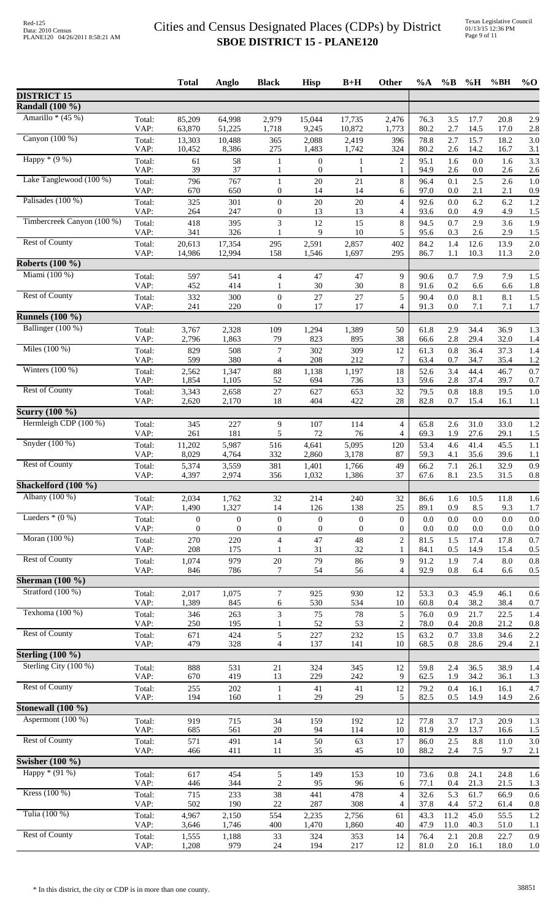|                                        |                | <b>Total</b>                     | Anglo                            | <b>Black</b>                         | <b>Hisp</b>                          | $B+H$                        | Other                                | $\%A$        | $\%B$          | %H           | %BH             | $%$ <sup>O</sup> |
|----------------------------------------|----------------|----------------------------------|----------------------------------|--------------------------------------|--------------------------------------|------------------------------|--------------------------------------|--------------|----------------|--------------|-----------------|------------------|
| <b>DISTRICT 15</b>                     |                |                                  |                                  |                                      |                                      |                              |                                      |              |                |              |                 |                  |
| <b>Randall</b> (100 %)                 |                |                                  |                                  |                                      |                                      |                              |                                      |              |                |              |                 |                  |
| Amarillo * $(45%)$                     | Total:<br>VAP: | 85,209<br>63,870                 | 64,998<br>51,225                 | 2,979<br>1,718                       | 15,044<br>9,245                      | 17,735<br>10,872             | 2,476<br>1,773                       | 76.3<br>80.2 | 3.5<br>2.7     | 17.7<br>14.5 | 20.8<br>17.0    | 2.9<br>2.8       |
| Canyon (100 %)                         | Total:<br>VAP: | 13,303<br>10,452                 | 10,488<br>8,386                  | 365<br>275                           | 2,088<br>1,483                       | 2,419<br>1,742               | 396<br>324                           | 78.8<br>80.2 | 2.7<br>2.6     | 15.7<br>14.2 | 18.2<br>16.7    | 3.0<br>3.1       |
| Happy $*(9%)$                          | Total:         | 61                               | 58                               | 1                                    | $\boldsymbol{0}$                     | $\mathbf{1}$                 | $\overline{c}$                       | 95.1         | 1.6            | $0.0\,$      | 1.6             | 3.3              |
| Lake Tanglewood (100 %)                | VAP:<br>Total: | 39<br>796                        | 37<br>767                        | $\mathbf{1}$                         | $\boldsymbol{0}$<br>20               | 1<br>21                      | 1<br>8                               | 94.9<br>96.4 | 2.6<br>0.1     | 0.0<br>2.5   | 2.6<br>2.6      | 2.6<br>1.0       |
| Palisades (100 %)                      | VAP:<br>Total: | 670<br>325                       | 650<br>301                       | $\boldsymbol{0}$<br>$\boldsymbol{0}$ | 14<br>20                             | 14<br>$20\,$                 | 6<br>$\overline{4}$                  | 97.0<br>92.6 | 0.0<br>0.0     | 2.1<br>6.2   | 2.1<br>6.2      | 0.9<br>1.2       |
|                                        | VAP:           | 264                              | 247                              | $\boldsymbol{0}$                     | 13                                   | 13                           | 4                                    | 93.6         | 0.0            | 4.9          | 4.9             | 1.5              |
| Timbercreek Canyon (100 %)             | Total:<br>VAP: | 418<br>341                       | 395<br>326                       | 3                                    | 12<br>9                              | 15<br>10                     | $\,$ 8 $\,$<br>5                     | 94.5<br>95.6 | 0.7<br>0.3     | 2.9<br>2.6   | 3.6<br>2.9      | 1.9<br>1.5       |
| <b>Rest of County</b>                  | Total:<br>VAP: | 20,613<br>14,986                 | 17,354<br>12,994                 | 295<br>158                           | 2,591<br>1,546                       | 2,857<br>1,697               | 402<br>295                           | 84.2<br>86.7 | 1.4<br>1.1     | 12.6<br>10.3 | 13.9<br>11.3    | 2.0<br>2.0       |
| <b>Roberts (100 %)</b>                 |                |                                  |                                  |                                      |                                      |                              |                                      |              |                |              |                 |                  |
| Miami (100 %)                          | Total:         | 597                              | 541                              | $\overline{4}$                       | 47                                   | 47                           | 9                                    | 90.6         | 0.7            | 7.9          | 7.9             | 1.5              |
| <b>Rest of County</b>                  | VAP:<br>Total: | 452<br>332                       | 414<br>300                       | 1<br>$\boldsymbol{0}$                | 30<br>$27\,$                         | 30<br>$27\,$                 | 8<br>5                               | 91.6<br>90.4 | 0.2<br>0.0     | 6.6<br>8.1   | 6.6<br>8.1      | 1.8<br>1.5       |
|                                        | VAP:           | 241                              | 220                              | $\boldsymbol{0}$                     | 17                                   | 17                           | $\overline{4}$                       | 91.3         | 0.0            | 7.1          | 7.1             | 1.7              |
| <b>Runnels</b> (100 %)                 |                |                                  |                                  |                                      |                                      |                              |                                      |              |                |              |                 |                  |
| Ballinger (100 %)                      | Total:<br>VAP: | 3,767<br>2,796                   | 2,328<br>1,863                   | 109<br>79                            | 1,294<br>823                         | 1,389<br>895                 | 50<br>38                             | 61.8<br>66.6 | 2.9<br>2.8     | 34.4<br>29.4 | 36.9<br>32.0    | 1.3<br>1.4       |
| Miles $(100\%)$                        | Total:         | 829                              | 508                              | 7                                    | 302                                  | 309                          | 12                                   | 61.3         | 0.8            | 36.4         | 37.3            | 1.4              |
|                                        | VAP:           | 599                              | 380                              | 4                                    | 208                                  | 212                          | $\tau$                               | 63.4         | 0.7            | 34.7         | 35.4            | 1.2              |
| Winters $(100\%)$                      | Total:<br>VAP: | 2,562<br>1,854                   | 1,347<br>1,105                   | 88<br>52                             | 1,138<br>694                         | 1,197<br>736                 | 18<br>13                             | 52.6<br>59.6 | 3.4<br>2.8     | 44.4<br>37.4 | 46.7<br>39.7    | 0.7<br>0.7       |
| <b>Rest of County</b>                  | Total:<br>VAP: | 3,343<br>2,620                   | 2,658<br>2,170                   | 27<br>18                             | 627<br>404                           | 653<br>422                   | 32<br>28                             | 79.5<br>82.8 | 0.8<br>0.7     | 18.8<br>15.4 | 19.5<br>16.1    | 1.0<br>1.1       |
| <b>Scurry</b> (100 %)                  |                |                                  |                                  |                                      |                                      |                              |                                      |              |                |              |                 |                  |
| Hermleigh CDP (100 %)                  | Total:<br>VAP: | 345<br>261                       | 227<br>181                       | 9<br>5                               | 107<br>72                            | 114<br>76                    | $\overline{4}$<br>4                  | 65.8<br>69.3 | 2.6<br>1.9     | 31.0<br>27.6 | 33.0<br>29.1    | 1.2<br>1.5       |
| Snyder $(100\%)$                       | Total:         | 11,202                           | 5,987                            | 516                                  | 4,641                                | 5,095                        | 120                                  | 53.4         | 4.6            | 41.4         | 45.5            | 1.1              |
| <b>Rest of County</b>                  | VAP:<br>Total: | 8,029<br>5,374                   | 4,764<br>3,559                   | 332<br>381                           | 2,860<br>1,401                       | 3,178<br>1,766               | 87<br>49                             | 59.3<br>66.2 | 4.1<br>7.1     | 35.6<br>26.1 | 39.6<br>32.9    | 1.1<br>0.9       |
|                                        | VAP:           | 4,397                            | 2,974                            | 356                                  | 1,032                                | 1,386                        | 37                                   | 67.6         | 8.1            | 23.5         | 31.5            | 0.8              |
| Shackelford (100 %)                    |                |                                  |                                  |                                      |                                      |                              |                                      |              |                |              |                 |                  |
| Albany (100 %)                         | Total:<br>VAP: | 2,034<br>1,490                   | 1,762<br>1,327                   | 32<br>14                             | 214<br>126                           | 240<br>138                   | 32<br>25                             | 86.6<br>89.1 | 1.6<br>0.9     | 10.5<br>8.5  | 11.8<br>9.3     | 1.6<br>1.7       |
| Lueders $*(0\%)$                       | Total:<br>VAP: | $\mathbf{0}$<br>$\boldsymbol{0}$ | $\mathbf{0}$<br>$\boldsymbol{0}$ | $\boldsymbol{0}$<br>$\boldsymbol{0}$ | $\boldsymbol{0}$<br>$\boldsymbol{0}$ | $\mathbf{0}$<br>$\mathbf{0}$ | $\boldsymbol{0}$<br>$\boldsymbol{0}$ | 0.0<br>0.0   | 0.0<br>$0.0\,$ | 0.0<br>0.0   | 0.0<br>0.0      | 0.0<br>0.0       |
| Moran (100 %)                          | Total:         | 270                              | 220                              | $\overline{4}$                       | 47                                   | 48                           | $\overline{c}$                       | 81.5         | 1.5            | 17.4         | 17.8            | 0.7              |
| <b>Rest of County</b>                  | VAP:<br>Total: | 208<br>1,074                     | 175<br>979                       | 1<br>$20\,$                          | 31<br>79                             | 32<br>86                     | 1<br>9                               | 84.1<br>91.2 | 0.5<br>1.9     | 14.9<br>7.4  | 15.4<br>$8.0\,$ | 0.5<br>0.8       |
|                                        | VAP:           | 846                              | 786                              | 7                                    | 54                                   | 56                           | $\overline{4}$                       | 92.9         | 0.8            | 6.4          | 6.6             | 0.5              |
| Sherman $(100\%)$<br>Stratford (100 %) |                |                                  |                                  |                                      |                                      |                              |                                      |              |                |              |                 |                  |
|                                        | Total:<br>VAP: | 2,017<br>1,389                   | 1,075<br>845                     | 7<br>6                               | 925<br>530                           | 930<br>534                   | 12<br>10                             | 53.3<br>60.8 | 0.3<br>0.4     | 45.9<br>38.2 | 46.1<br>38.4    | 0.6<br>0.7       |
| Texhoma (100 %)                        | Total:<br>VAP: | 346<br>250                       | 263<br>195                       | 3                                    | 75<br>52                             | 78<br>53                     | 5<br>$\overline{c}$                  | 76.0<br>78.0 | 0.9<br>0.4     | 21.7<br>20.8 | 22.5<br>21.2    | 1.4<br>0.8       |
| <b>Rest of County</b>                  | Total:         | 671                              | 424                              | 5                                    | 227                                  | 232                          | 15                                   | 63.2         | 0.7            | 33.8         | 34.6            | 2.2              |
| Sterling $(100 \%)$                    | VAP:           | 479                              | 328                              | $\overline{4}$                       | 137                                  | 141                          | 10                                   | 68.5         | 0.8            | 28.6         | 29.4            | 2.1              |
| Sterling City (100 %)                  | Total:         | 888                              | 531                              | $21\,$                               | 324                                  | 345                          | 12                                   | 59.8         | 2.4            | 36.5         | 38.9            | 1.4              |
| <b>Rest of County</b>                  | VAP:<br>Total: | 670<br>255                       | 419<br>202                       | 13<br>$\mathbf{1}$                   | 229<br>41                            | 242<br>41                    | 9<br>12                              | 62.5<br>79.2 | 1.9<br>0.4     | 34.2<br>16.1 | 36.1<br>16.1    | 1.3<br>4.7       |
|                                        | VAP:           | 194                              | 160                              | 1                                    | 29                                   | 29                           | 5                                    | 82.5         | 0.5            | 14.9         | 14.9            | 2.6              |
| Stonewall (100 %)<br>Aspermont (100 %) |                |                                  |                                  |                                      |                                      |                              |                                      |              |                |              |                 |                  |
|                                        | Total:<br>VAP: | 919<br>685                       | 715<br>561                       | 34<br>20                             | 159<br>94                            | 192<br>114                   | 12<br>10                             | 77.8<br>81.9 | 3.7<br>2.9     | 17.3<br>13.7 | 20.9<br>16.6    | 1.3<br>1.5       |
| <b>Rest of County</b>                  | Total:         | 571                              | 491                              | 14                                   | 50                                   | 63                           | $17\,$                               | 86.0         | 2.5            | 8.8          | 11.0            | 3.0              |
| Swisher $(100\%)$                      | VAP:           | 466                              | 411                              | 11                                   | 35                                   | 45                           | 10                                   | 88.2         | 2.4            | 7.5          | 9.7             | 2.1              |
| Happy $*(91\%)$                        | Total:         | 617                              | 454                              | 5                                    | 149                                  | 153                          | 10                                   | 73.6         | 0.8            | 24.1         | 24.8            | 1.6              |
| Kress (100 %)                          | VAP:<br>Total: | 446<br>715                       | 344<br>233                       | $\overline{c}$<br>38                 | 95<br>441                            | 96<br>478                    | 6<br>4                               | 77.1<br>32.6 | 0.4<br>5.3     | 21.3<br>61.7 | 21.5<br>66.9    | 1.3<br>0.6       |
|                                        | VAP:           | 502                              | 190                              | $22\,$                               | 287                                  | 308                          | $\overline{4}$                       | 37.8         | 4.4            | 57.2         | 61.4            | 0.8              |
| Tulia (100 %)                          | Total:<br>VAP: | 4,967<br>3,646                   | 2,150<br>1,746                   | 554<br>400                           | 2,235<br>1,470                       | 2,756<br>1,860               | 61<br>40                             | 43.3<br>47.9 | 11.2<br>11.0   | 45.0<br>40.3 | 55.5<br>51.0    | 1.2<br>1.1       |
| <b>Rest of County</b>                  | Total:<br>VAP: | 1,555<br>1,208                   | 1,188<br>979                     | 33<br>$24\,$                         | 324<br>194                           | 353<br>217                   | 14<br>12                             | 76.4<br>81.0 | 2.1<br>$2.0\,$ | 20.8<br>16.1 | 22.7<br>18.0    | 0.9<br>1.0       |
|                                        |                |                                  |                                  |                                      |                                      |                              |                                      |              |                |              |                 |                  |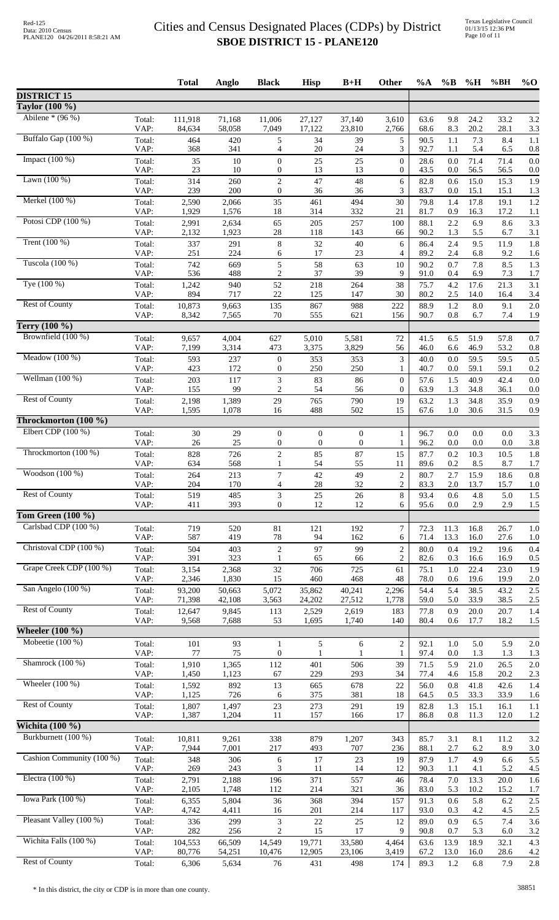|                                               |                | <b>Total</b>      | <b>Anglo</b>     | <b>Black</b>                         | <b>Hisp</b>                  | $B+H$                            | Other                 | $\%A$        | $\%B$          | %H           | %BH          | $%$ <sup>O</sup> |
|-----------------------------------------------|----------------|-------------------|------------------|--------------------------------------|------------------------------|----------------------------------|-----------------------|--------------|----------------|--------------|--------------|------------------|
| <b>DISTRICT 15</b>                            |                |                   |                  |                                      |                              |                                  |                       |              |                |              |              |                  |
| Taylor (100 %)                                |                |                   |                  |                                      |                              |                                  |                       |              |                |              |              |                  |
| Abilene * $(96\%)$                            | Total:<br>VAP: | 111,918<br>84,634 | 71,168<br>58,058 | 11,006<br>7,049                      | 27,127<br>17,122             | 37,140<br>23,810                 | 3,610<br>2,766        | 63.6<br>68.6 | 9.8<br>8.3     | 24.2<br>20.2 | 33.2<br>28.1 | 3.2<br>3.3       |
| Buffalo Gap (100 %)                           | Total:         | 464               | 420              | 5                                    | 34                           | 39                               | 5                     | 90.5         | 1.1            | 7.3          | 8.4          | 1.1              |
| Impact $(100\%)$                              | VAP:<br>Total: | 368<br>35         | 341<br>10        | 4<br>$\boldsymbol{0}$                | 20<br>25                     | 24<br>25                         | 3<br>$\boldsymbol{0}$ | 92.7<br>28.6 | 1.1<br>0.0     | 5.4<br>71.4  | 6.5<br>71.4  | 0.8<br>0.0       |
|                                               | VAP:           | 23                | 10               | $\boldsymbol{0}$                     | 13                           | 13                               | $\overline{0}$        | 43.5         | 0.0            | 56.5         | 56.5         | 0.0              |
| Lawn $(100\%)$                                | Total:<br>VAP: | 314<br>239        | 260<br>200       | $\overline{c}$<br>$\overline{0}$     | 47<br>36                     | 48<br>36                         | 6<br>3                | 82.8<br>83.7 | 0.6<br>0.0     | 15.0<br>15.1 | 15.3<br>15.1 | 1.9<br>1.3       |
| Merkel (100 %)                                | Total:         | 2,590             | 2,066            | 35                                   | 461                          | 494                              | 30                    | 79.8         | 1.4            | 17.8         | 19.1         | 1.2              |
|                                               | VAP:           | 1,929             | 1,576            | $18\,$                               | 314                          | 332                              | 21                    | 81.7         | 0.9            | 16.3         | 17.2         | 1.1              |
| Potosi CDP (100 %)                            | Total:<br>VAP: | 2,991<br>2,132    | 2,634<br>1,923   | 65<br>$28\,$                         | 205<br>118                   | 257<br>143                       | 100<br>66             | 88.1<br>90.2 | 2.2<br>1.3     | 6.9<br>5.5   | 8.6<br>6.7   | 3.3<br>3.1       |
| Trent $(100\%)$                               | Total:<br>VAP: | 337<br>251        | 291<br>224       | $\,8\,$<br>6                         | 32<br>17                     | $40\,$<br>23                     | 6<br>4                | 86.4<br>89.2 | 2.4<br>2.4     | 9.5<br>6.8   | 11.9<br>9.2  | 1.8<br>1.6       |
| Tuscola (100 %)                               | Total:         | 742               | 669              | 5                                    | 58                           | 63                               | 10                    | 90.2         | 0.7            | 7.8          | 8.5          | 1.3              |
| Tye (100 %)                                   | VAP:           | 536               | 488<br>940       | $\overline{c}$<br>52                 | 37                           | 39                               | 9<br>38               | 91.0         | 0.4            | 6.9<br>17.6  | 7.3          | 1.7<br>3.1       |
|                                               | Total:<br>VAP: | 1,242<br>894      | 717              | 22                                   | 218<br>125                   | 264<br>147                       | 30                    | 75.7<br>80.2 | 4.2<br>2.5     | 14.0         | 21.3<br>16.4 | 3.4              |
| <b>Rest of County</b>                         | Total:<br>VAP: | 10,873<br>8,342   | 9,663<br>7,565   | 135<br>$70\,$                        | 867<br>555                   | 988<br>621                       | 222<br>156            | 88.9<br>90.7 | 1.2<br>0.8     | 8.0<br>6.7   | 9.1<br>7.4   | 2.0<br>1.9       |
| Terry (100 %)                                 |                |                   |                  |                                      |                              |                                  |                       |              |                |              |              |                  |
| Brownfield (100 %)                            | Total:         | 9,657             | 4,004            | 627                                  | 5,010                        | 5,581                            | 72                    | 41.5         | 6.5            | 51.9         | 57.8         | 0.7              |
|                                               | VAP:           | 7,199             | 3,314            | 473                                  | 3,375                        | 3,829                            | 56                    | 46.0         | 6.6            | 46.9         | 53.2         | 0.8              |
| Meadow $(100\%)$                              | Total:<br>VAP: | 593<br>423        | 237<br>172       | $\boldsymbol{0}$<br>$\boldsymbol{0}$ | 353<br>250                   | 353<br>250                       | 3<br>1                | 40.0<br>40.7 | 0.0<br>0.0     | 59.5<br>59.1 | 59.5<br>59.1 | 0.5<br>0.2       |
| Wellman $(100\%)$                             | Total:         | 203               | 117              | 3                                    | 83                           | 86                               | $\boldsymbol{0}$      | 57.6         | 1.5            | 40.9         | 42.4         | 0.0              |
| <b>Rest of County</b>                         | VAP:<br>Total: | 155<br>2,198      | 99<br>1,389      | $\overline{c}$<br>29                 | 54<br>765                    | 56<br>790                        | $\mathbf{0}$<br>19    | 63.9<br>63.2 | 1.3<br>1.3     | 34.8<br>34.8 | 36.1<br>35.9 | 0.0<br>0.9       |
|                                               | VAP:           | 1,595             | 1,078            | 16                                   | 488                          | 502                              | 15                    | 67.6         | 1.0            | 30.6         | 31.5         | 0.9              |
| Throckmorton (100 %)<br>Elbert CDP $(100\%)$  |                |                   |                  |                                      |                              |                                  |                       |              |                |              |              |                  |
|                                               | Total:<br>VAP: | $30\,$<br>26      | 29<br>$25\,$     | $\boldsymbol{0}$<br>$\boldsymbol{0}$ | $\boldsymbol{0}$<br>$\theta$ | $\boldsymbol{0}$<br>$\mathbf{0}$ | 1<br>$\mathbf{1}$     | 96.7<br>96.2 | 0.0<br>0.0     | 0.0<br>0.0   | 0.0<br>0.0   | 3.3<br>3.8       |
| Throckmorton (100 %)                          | Total:         | 828               | 726              | $\sqrt{2}$                           | 85                           | 87                               | 15                    | 87.7         | 0.2            | 10.3         | 10.5         | 1.8              |
| Woodson $(100\%)$                             | VAP:<br>Total: | 634<br>264        | 568<br>213       | 1<br>$\boldsymbol{7}$                | 54<br>42                     | 55<br>49                         | 11<br>$\sqrt{2}$      | 89.6<br>80.7 | 0.2<br>2.7     | 8.5<br>15.9  | 8.7<br>18.6  | 1.7<br>0.8       |
|                                               | VAP:           | 204               | 170              | $\overline{4}$                       | 28                           | 32                               | $\overline{c}$        | 83.3         | 2.0            | 13.7         | 15.7         | 1.0              |
| <b>Rest of County</b>                         | Total:<br>VAP: | 519<br>411        | 485<br>393       | 3<br>0                               | 25<br>12                     | 26<br>12                         | 8<br>6                | 93.4<br>95.6 | 0.6<br>0.0     | 4.8<br>2.9   | 5.0<br>2.9   | 1.5<br>1.5       |
| Tom Green $(100\%$                            |                |                   |                  |                                      |                              |                                  |                       |              |                |              |              |                  |
| Carlsbad CDP (100 %)                          | Total:<br>VAP: | 719<br>587        | 520<br>419       | 81<br>$78\,$                         | 121<br>94                    | 192<br>162                       | $\overline{7}$<br>6   | 72.3<br>71.4 | 11.3<br>13.3   | 16.8<br>16.0 | 26.7<br>27.6 | 1.0<br>1.0       |
| Christoval CDP (100 %)                        | Total:         | 504               | 403              | $\overline{2}$                       | 97                           | 99                               | $\boldsymbol{2}$      | 80.0         | 0.4            | 19.2         | 19.6         | 0.4              |
| Grape Creek CDP (100 %)                       | VAP:           | 391               | 323              |                                      | 65                           | 66                               | $\mathbf{2}$          | 82.6         | 0.3            | 16.6         | 16.9         | 0.5              |
|                                               | Total:<br>VAP: | 3,154<br>2,346    | 2,368<br>1,830   | $32\,$<br>15                         | 706<br>460                   | 725<br>468                       | 61<br>48              | 75.1<br>78.0 | $1.0\,$<br>0.6 | 22.4<br>19.6 | 23.0<br>19.9 | 1.9<br>2.0       |
| San Angelo (100 %)                            | Total:<br>VAP: | 93,200<br>71,398  | 50,663<br>42,108 | 5,072<br>3,563                       | 35,862<br>24,202             | 40,241<br>27,512                 | 2,296<br>1,778        | 54.4<br>59.0 | 5.4<br>5.0     | 38.5<br>33.9 | 43.2<br>38.5 | 2.5<br>2.5       |
| <b>Rest of County</b>                         | Total:         | 12,647            | 9,845            | 113                                  | 2,529                        | 2,619                            | 183                   | 77.8         | 0.9            | 20.0         | 20.7         | 1.4              |
| Wheeler $(100\%$                              | VAP:           | 9,568             | 7,688            | 53                                   | 1,695                        | 1,740                            | 140                   | 80.4         | 0.6            | 17.7         | 18.2         | 1.5              |
| Mobeetie $(100\%)$                            | Total:         | 101               | 93               | $\mathbf{1}$                         | 5                            | 6                                | $\mathbf{2}$          | 92.1         | 1.0            | 5.0          | 5.9          | 2.0              |
|                                               | VAP:           | 77                | 75               | $\boldsymbol{0}$                     |                              | 1                                | 1                     | 97.4         | 0.0            | 1.3          | 1.3          | 1.3              |
| Shamrock (100 %)                              | Total:<br>VAP: | 1,910<br>1,450    | 1,365<br>1,123   | 112<br>67                            | 401<br>229                   | 506<br>293                       | 39<br>34              | 71.5<br>77.4 | 5.9<br>4.6     | 21.0<br>15.8 | 26.5<br>20.2 | 2.0<br>2.3       |
| Wheeler $(100\%)$                             | Total:         | 1,592             | 892              | 13                                   | 665                          | 678                              | $22\,$                | 56.0         | 0.8            | 41.8         | 42.6         | 1.4              |
| <b>Rest of County</b>                         | VAP:<br>Total: | 1,125<br>1,807    | 726<br>1,497     | 6<br>23                              | 375<br>273                   | 381<br>291                       | 18<br>19              | 64.5<br>82.8 | 0.5<br>1.3     | 33.3<br>15.1 | 33.9<br>16.1 | 1.6<br>1.1       |
|                                               | VAP:           | 1,387             | 1,204            | 11                                   | 157                          | 166                              | 17                    | 86.8         | 0.8            | 11.3         | 12.0         | 1.2              |
| <b>Wichita</b> (100 %)<br>Burkburnett (100 %) |                |                   |                  |                                      |                              |                                  |                       |              |                |              |              |                  |
|                                               | Total:<br>VAP: | 10,811<br>7,944   | 9,261<br>7,001   | 338<br>217                           | 879<br>493                   | 1,207<br>707                     | 343<br>236            | 85.7<br>88.1 | 3.1<br>2.7     | 8.1<br>6.2   | 11.2<br>8.9  | 3.2<br>3.0       |
| Cashion Community (100 %)                     | Total:<br>VAP: | 348<br>269        | 306<br>243       | 6<br>3                               | 17<br>11                     | 23<br>14                         | 19<br>12              | 87.9<br>90.3 | 1.7<br>1.1     | 4.9<br>4.1   | 6.6<br>5.2   | 5.5              |
| Electra $(100\%)$                             | Total:         | 2,791             | 2,188            | 196                                  | 371                          | 557                              | 46                    | 78.4         | 7.0            | 13.3         | 20.0         | 4.5<br>1.6       |
| Iowa Park (100 %)                             | VAP:           | 2,105             | 1,748            | 112                                  | 214                          | 321                              | 36                    | 83.0         | 5.3            | 10.2         | 15.2         | 1.7              |
|                                               | Total:<br>VAP: | 6,355<br>4,742    | 5,804<br>4,411   | 36<br>16                             | 368<br>201                   | 394<br>214                       | 157<br>117            | 91.3<br>93.0 | 0.6<br>0.3     | 5.8<br>4.2   | 6.2<br>4.5   | 2.5<br>2.5       |
| Pleasant Valley (100 %)                       | Total:         | 336               | 299              | 3                                    | 22                           | 25                               | 12                    | 89.0         | 0.9            | 6.5          | 7.4          | 3.6              |
| Wichita Falls (100 %)                         | VAP:<br>Total: | 282<br>104,553    | 256<br>66,509    | $\overline{c}$<br>14,549             | 15<br>19,771                 | 17<br>33,580                     | 9<br>4,464            | 90.8<br>63.6 | 0.7<br>13.9    | 5.3<br>18.9  | 6.0<br>32.1  | 3.2<br>4.3       |
| <b>Rest of County</b>                         | VAP:           | 80,776            | 54,251           | 10,476                               | 12,905                       | 23,106                           | 3,419                 | 67.2         | 13.0           | 16.0         | 28.6         | 4.2              |
|                                               | Total:         | 6,306             | 5,634            | 76                                   | 431                          | 498                              | 174                   | 89.3         | $1.2\,$        | 6.8          | 7.9          | 2.8              |